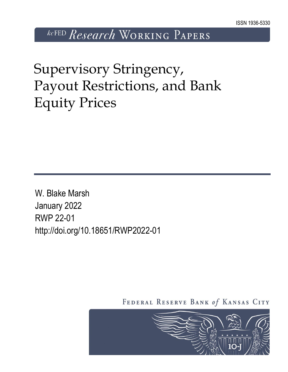*kcFED Research* WORKING PAPERS

Supervisory Stringency, Payout Restrictions, and Bank Equity Prices

W. Blake Marsh January 2022 RWP 22-01 http://doi.org/10.18651/RWP2022-01

FEDERAL RESERVE BANK of KANSAS CITY

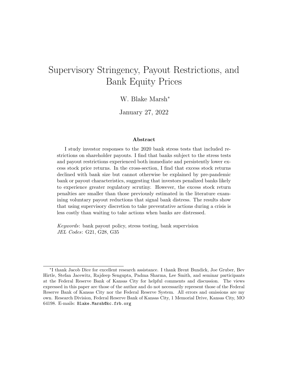# <span id="page-1-0"></span>Supervisory Stringency, Payout Restrictions, and Bank Equity Prices

#### W. Blake Marsh<sup>∗</sup>

January 27, 2022

#### Abstract

I study investor responses to the 2020 bank stress tests that included restrictions on shareholder payouts. I find that banks subject to the stress tests and payout restrictions experienced both immediate and persistently lower excess stock price returns. In the cross-section, I find that excess stock returns declined with bank size but cannot otherwise be explained by pre-pandemic bank or payout characteristics, suggesting that investors penalized banks likely to experience greater regulatory scrutiny. However, the excess stock return penalties are smaller than those previously estimated in the literature examining voluntary payout reductions that signal bank distress. The results show that using supervisory discretion to take preventative actions during a crisis is less costly than waiting to take actions when banks are distressed.

Keywords: bank payout policy, stress testing, bank supervision JEL Codes: G21, G28, G35

<sup>∗</sup> I thank Jacob Dice for excellent research assistance. I thank Brent Bundick, Joe Gruber, Bev Hirtle, Stefan Jacewitz, Rajdeep Sengupta, Padma Sharma, Lee Smith, and seminar participants at the Federal Reserve Bank of Kansas City for helpful comments and discussion. The views expressed in this paper are those of the author and do not necessarily represent those of the Federal Reserve Bank of Kansas City nor the Federal Reserve System. All errors and omissions are my own. Research Division, Federal Reserve Bank of Kansas City, 1 Memorial Drive, Kansas City, MO 64198. E-mails: Blake.Marsh@kc.frb.org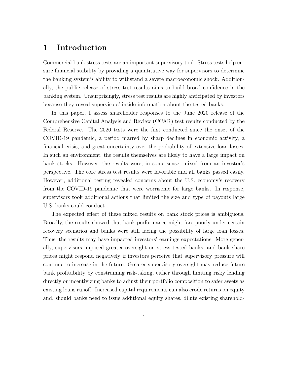### 1 Introduction

Commercial bank stress tests are an important supervisory tool. Stress tests help ensure financial stability by providing a quantitative way for supervisors to determine the banking system's ability to withstand a severe macroeconomic shock. Additionally, the public release of stress test results aims to build broad confidence in the banking system. Unsurprisingly, stress test results are highly anticipated by investors because they reveal supervisors' inside information about the tested banks.

In this paper, I assess shareholder responses to the June 2020 release of the Comprehensive Capital Analysis and Review (CCAR) test results conducted by the Federal Reserve. The 2020 tests were the first conducted since the onset of the COVID-19 pandemic, a period marred by sharp declines in economic activity, a financial crisis, and great uncertainty over the probability of extensive loan losses. In such an environment, the results themselves are likely to have a large impact on bank stocks. However, the results were, in some sense, mixed from an investor's perspective. The core stress test results were favorable and all banks passed easily. However, additional testing revealed concerns about the U.S. economy's recovery from the COVID-19 pandemic that were worrisome for large banks. In response, supervisors took additional actions that limited the size and type of payouts large U.S. banks could conduct.

The expected effect of these mixed results on bank stock prices is ambiguous. Broadly, the results showed that bank performance might fare poorly under certain recovery scenarios and banks were still facing the possibility of large loan losses. Thus, the results may have impacted investors' earnings expectations. More generally, supervisors imposed greater oversight on stress tested banks, and bank share prices might respond negatively if investors perceive that supervisory pressure will continue to increase in the future. Greater supervisory oversight may reduce future bank profitability by constraining risk-taking, either through limiting risky lending directly or incentivizing banks to adjust their portfolio composition to safer assets as existing loans runoff. Increased capital requirements can also erode returns on equity and, should banks need to issue additional equity shares, dilute existing sharehold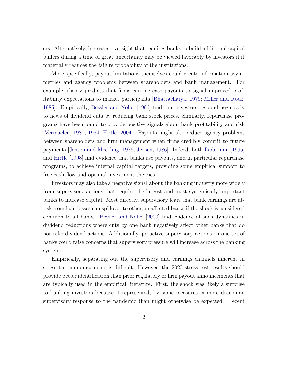ers. Alternatively, increased oversight that requires banks to build additional capital buffers during a time of great uncertainty may be viewed favorably by investors if it materially reduces the failure probability of the institutions.

More specifically, payout limitations themselves could create information asymmetries and agency problems between shareholders and bank management. For example, theory predicts that firms can increase payouts to signal improved profitability expectations to market participants [\[Bhattacharya,](#page-43-0) [1979;](#page-43-0) [Miller and Rock,](#page-44-0) [1985\]](#page-44-0). Empirically, [Bessler and Nohel](#page-43-1) [\[1996\]](#page-43-1) find that investors respond negatively to news of dividend cuts by reducing bank stock prices. Similarly, repurchase programs have been found to provide positive signals about bank profitability and risk [\[Vermaelen,](#page-45-0) [1981,](#page-45-0) [1984;](#page-45-1) [Hirtle,](#page-44-1) [2004\]](#page-44-1). Payouts might also reduce agency problems between shareholders and firm management when firms credibly commit to future payments [\[Jensen and Meckling,](#page-44-2) [1976;](#page-44-2) [Jensen,](#page-44-3) [1986\]](#page-44-3). Indeed, both [Laderman](#page-44-4) [\[1995\]](#page-44-4) and [Hirtle](#page-44-5) [\[1998\]](#page-44-5) find evidence that banks use payouts, and in particular repurchase programs, to achieve internal capital targets, providing some empirical support to free cash flow and optimal investment theories.

Investors may also take a negative signal about the banking industry more widely from supervisory actions that require the largest and most systemically important banks to increase capital. Most directly, supervisory fears that bank earnings are atrisk from loan losses can spillover to other, unaffected banks if the shock is considered common to all banks. [Bessler and Nohel](#page-43-2) [\[2000\]](#page-43-2) find evidence of such dynamics in dividend reductions where cuts by one bank negatively affect other banks that do not take dividend actions. Additionally, proactive supervisory actions on one set of banks could raise concerns that supervisory pressure will increase across the banking system.

Empirically, separating out the supervisory and earnings channels inherent in stress test announcements is difficult. However, the 2020 stress test results should provide better identification than prior regulatory or firm payout announcements that are typically used in the empirical literature. First, the shock was likely a surprise to banking investors because it represented, by some measures, a more draconian supervisory response to the pandemic than might otherwise be expected. Recent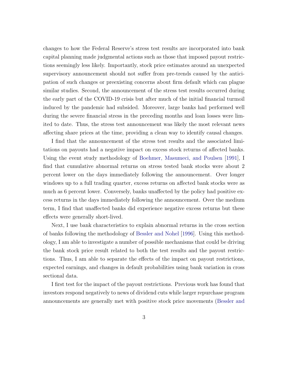changes to how the Federal Reserve's stress test results are incorporated into bank capital planning made judgmental actions such as those that imposed payout restrictions seemingly less likely. Importantly, stock price estimates around an unexpected supervisory announcement should not suffer from pre-trends caused by the anticipation of such changes or preexisting concerns about firm default which can plague similar studies. Second, the announcement of the stress test results occurred during the early part of the COVID-19 crisis but after much of the initial financial turmoil induced by the pandemic had subsided. Moreover, large banks had performed well during the severe financial stress in the preceding months and loan losses were limited to date. Thus, the stress test announcement was likely the most relevant news affecting share prices at the time, providing a clean way to identify causal changes.

I find that the announcement of the stress test results and the associated limitations on payouts had a negative impact on excess stock returns of affected banks. Using the event study methodology of [Boehmer, Masumeci, and Poulsen](#page-43-3) [\[1991\]](#page-43-3), I find that cumulative abnormal returns on stress tested bank stocks were about 2 percent lower on the days immediately following the announcement. Over longer windows up to a full trading quarter, excess returns on affected bank stocks were as much as 6 percent lower. Conversely, banks unaffected by the policy had positive excess returns in the days immediately following the announcement. Over the medium term, I find that unaffected banks did experience negative excess returns but these effects were generally short-lived.

Next, I use bank characteristics to explain abnormal returns in the cross section of banks following the methodology of [Bessler and Nohel](#page-43-1) [\[1996\]](#page-43-1). Using this methodology, I am able to investigate a number of possible mechanisms that could be driving the bank stock price result related to both the test results and the payout restrictions. Thus, I am able to separate the effects of the impact on payout restrictions, expected earnings, and changes in default probabilities using bank variation in cross sectional data.

I first test for the impact of the payout restrictions. Previous work has found that investors respond negatively to news of dividend cuts while larger repurchase program announcements are generally met with positive stock price movements [\(Bessler and](#page-43-1)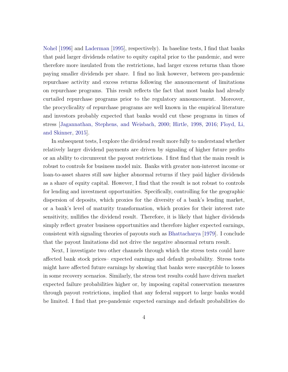[Nohel](#page-43-1) [\[1996\]](#page-43-1) and [Laderman](#page-44-4) [\[1995\]](#page-44-4), respectively). In baseline tests, I find that banks that paid larger dividends relative to equity capital prior to the pandemic, and were therefore more insulated from the restrictions, had larger excess returns than those paying smaller dividends per share. I find no link however, between pre-pandemic repurchase activity and excess returns following the announcement of limitations on repurchase programs. This result reflects the fact that most banks had already curtailed repurchase programs prior to the regulatory announcement. Moreover, the procyclicality of repurchase programs are well known in the empirical literature and investors probably expected that banks would cut these programs in times of stress [\[Jagannathan, Stephens, and Weisbach,](#page-44-6) [2000;](#page-44-6) [Hirtle,](#page-44-5) [1998,](#page-44-5) [2016;](#page-44-7) [Floyd, Li,](#page-44-8) [and Skinner,](#page-44-8) [2015\]](#page-44-8).

In subsequent tests, I explore the dividend result more fully to understand whether relatively larger dividend payments are driven by signaling of higher future profits or an ability to circumvent the payout restrictions. I first find that the main result is robust to controls for business model mix. Banks with greater non-interest income or loan-to-asset shares still saw higher abnormal returns if they paid higher dividends as a share of equity capital. However, I find that the result is not robust to controls for lending and investment opportunities. Specifically, controlling for the geographic dispersion of deposits, which proxies for the diversity of a bank's lending market, or a bank's level of maturity transformation, which proxies for their interest rate sensitivity, nullifies the dividend result. Therefore, it is likely that higher dividends simply reflect greater business opportunities and therefore higher expected earnings, consistent with signaling theories of payouts such as [Bhattacharya](#page-43-0) [\[1979\]](#page-43-0). I conclude that the payout limitations did not drive the negative abnormal return result.

Next, I investigate two other channels through which the stress tests could have affected bank stock prices– expected earnings and default probability. Stress tests might have affected future earnings by showing that banks were susceptible to losses in some recovery scenarios. Similarly, the stress test results could have driven market expected failure probabilities higher or, by imposing capital conservation measures through payout restrictions, implied that any federal support to large banks would be limited. I find that pre-pandemic expected earnings and default probabilities do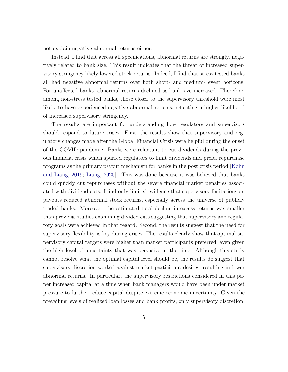not explain negative abnormal returns either.

Instead, I find that across all specifications, abnormal returns are strongly, negatively related to bank size. This result indicates that the threat of increased supervisory stringency likely lowered stock returns. Indeed, I find that stress tested banks all had negative abnormal returns over both short- and medium- event horizons. For unaffected banks, abnormal returns declined as bank size increased. Therefore, among non-stress tested banks, those closer to the supervisory threshold were most likely to have experienced negative abnormal returns, reflecting a higher likelihood of increased supervisory stringency.

The results are important for understanding how regulators and supervisors should respond to future crises. First, the results show that supervisory and regulatory changes made after the Global Financial Crisis were helpful during the onset of the COVID pandemic. Banks were reluctant to cut dividends during the previous financial crisis which spurred regulators to limit dividends and prefer repurchase programs as the primary payout mechanism for banks in the post crisis period [\[Kohn](#page-44-9) [and Liang,](#page-44-9) [2019;](#page-44-9) [Liang,](#page-44-10) [2020\]](#page-44-10). This was done because it was believed that banks could quickly cut repurchases without the severe financial market penalties associated with dividend cuts. I find only limited evidence that supervisory limitations on payouts reduced abnormal stock returns, especially across the universe of publicly traded banks. Moreover, the estimated total decline in excess returns was smaller than previous studies examining divided cuts suggesting that supervisory and regulatory goals were achieved in that regard. Second, the results suggest that the need for supervisory flexibility is key during crises. The results clearly show that optimal supervisory capital targets were higher than market participants preferred, even given the high level of uncertainty that was pervasive at the time. Although this study cannot resolve what the optimal capital level should be, the results do suggest that supervisory discretion worked against market participant desires, resulting in lower abnormal returns. In particular, the supervisory restrictions considered in this paper increased capital at a time when bank managers would have been under market pressure to further reduce capital despite extreme economic uncertainty. Given the prevailing levels of realized loan losses and bank profits, only supervisory discretion,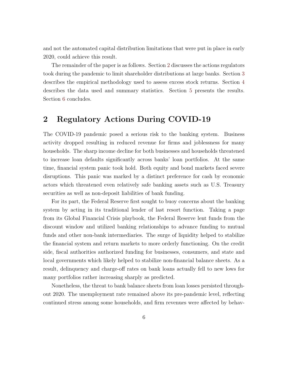and not the automated capital distribution limitations that were put in place in early 2020, could achieve this result.

The remainder of the paper is as follows. Section [2](#page-7-0) discusses the actions regulators took during the pandemic to limit shareholder distributions at large banks. Section [3](#page-12-0) describes the empirical methodology used to assess excess stock returns. Section [4](#page-16-0) describes the data used and summary statistics. Section [5](#page-22-0) presents the results. Section [6](#page-37-0) concludes.

### <span id="page-7-0"></span>2 Regulatory Actions During COVID-19

The COVID-19 pandemic posed a serious risk to the banking system. Business activity dropped resulting in reduced revenue for firms and joblessness for many households. The sharp income decline for both businesses and households threatened to increase loan defaults significantly across banks' loan portfolios. At the same time, financial system panic took hold. Both equity and bond markets faced severe disruptions. This panic was marked by a distinct preference for cash by economic actors which threatened even relatively safe banking assets such as U.S. Treasury securities as well as non-deposit liabilities of bank funding.

For its part, the Federal Reserve first sought to buoy concerns about the banking system by acting in its traditional lender of last resort function. Taking a page from its Global Financial Crisis playbook, the Federal Reserve lent funds from the discount window and utilized banking relationships to advance funding to mutual funds and other non-bank intermediaries. The surge of liquidity helped to stabilize the financial system and return markets to more orderly functioning. On the credit side, fiscal authorities authorized funding for businesses, consumers, and state and local governments which likely helped to stabilize non-financial balance sheets. As a result, delinquency and charge-off rates on bank loans actually fell to new lows for many portfolios rather increasing sharply as predicted.

Nonetheless, the threat to bank balance sheets from loan losses persisted throughout 2020. The unemployment rate remained above its pre-pandemic level, reflecting continued stress among some households, and firm revenues were affected by behav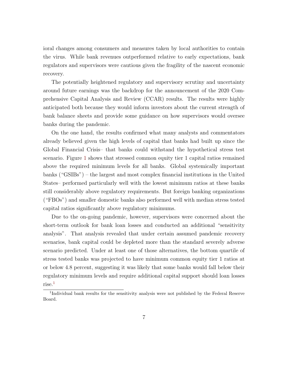ioral changes among consumers and measures taken by local authorities to contain the virus. While bank revenues outperformed relative to early expectations, bank regulators and supervisors were cautious given the fragility of the nascent economic recovery.

The potentially heightened regulatory and supervisory scrutiny and uncertainty around future earnings was the backdrop for the announcement of the 2020 Comprehensive Capital Analysis and Review (CCAR) results. The results were highly anticipated both because they would inform investors about the current strength of bank balance sheets and provide some guidance on how supervisors would oversee banks during the pandemic.

On the one hand, the results confirmed what many analysts and commentators already believed given the high levels of capital that banks had built up since the Global Financial Crisis– that banks could withstand the hypothetical stress test scenario. Figure [1](#page-9-0) shows that stressed common equity tier 1 capital ratios remained above the required minimum levels for all banks. Global systemically important banks ("GSIBs") – the largest and most complex financial institutions in the United States– performed particularly well with the lowest minimum ratios at these banks still considerably above regulatory requirements. But foreign banking organizations ("FBOs") and smaller domestic banks also performed well with median stress tested capital ratios significantly above regulatory minimums.

Due to the on-going pandemic, however, supervisors were concerned about the short-term outlook for bank loan losses and conducted an additional "sensitivity analysis". That analysis revealed that under certain assumed pandemic recovery scenarios, bank capital could be depleted more than the standard severely adverse scenario predicted. Under at least one of those alternatives, the bottom quartile of stress tested banks was projected to have minimum common equity tier 1 ratios at or below 4.8 percent, suggesting it was likely that some banks would fall below their regulatory minimum levels and require additional capital support should loan losses rise.[1](#page-8-0)

<span id="page-8-0"></span><sup>&</sup>lt;sup>1</sup>Individual bank results for the sensitivity analysis were not published by the Federal Reserve Board.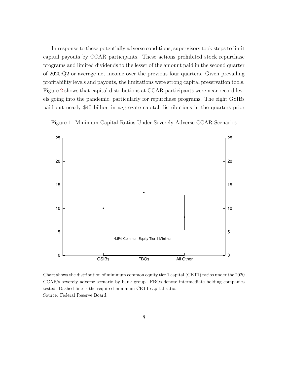In response to these potentially adverse conditions, supervisors took steps to limit capital payouts by CCAR participants. These actions prohibited stock repurchase programs and limited dividends to the lesser of the amount paid in the second quarter of 2020:Q2 or average net income over the previous four quarters. Given prevailing profitability levels and payouts, the limitations were strong capital preservation tools. Figure [2](#page-10-0) shows that capital distributions at CCAR participants were near record levels going into the pandemic, particularly for repurchase programs. The eight GSIBs paid out nearly \$40 billion in aggregate capital distributions in the quarters prior

<span id="page-9-0"></span>



Chart shows the distribution of minimum common equity tier 1 capital (CET1) ratios under the 2020 CCAR's severely adverse scenario by bank group. FBOs denote intermediate holding companies tested. Dashed line is the required minimum CET1 capital ratio. Source: Federal Reserve Board.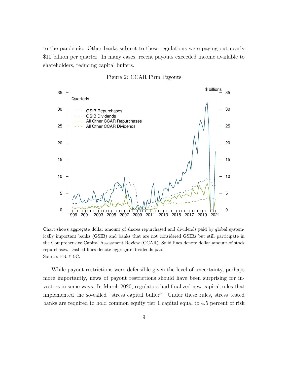to the pandemic. Other banks subject to these regulations were paying out nearly \$10 billion per quarter. In many cases, recent payouts exceeded income available to shareholders, reducing capital buffers.

<span id="page-10-0"></span>

Figure 2: CCAR Firm Payouts

Chart shows aggregate dollar amount of shares repurchased and dividends paid by global systemically important banks (GSIB) and banks that are not considered GSIBs but still participate in the Comprehensive Capital Assessment Review (CCAR). Solid lines denote dollar amount of stock repurchases. Dashed lines denote aggregate dividends paid. Source: FR Y-9C.

While payout restrictions were defensible given the level of uncertainty, perhaps more importantly, news of payout restrictions should have been surprising for investors in some ways. In March 2020, regulators had finalized new capital rules that implemented the so-called "stress capital buffer". Under these rules, stress tested banks are required to hold common equity tier 1 capital equal to 4.5 percent of risk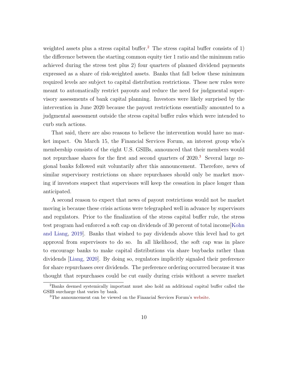weighted assets plus a stress capital buffer.<sup>[2](#page-11-0)</sup> The stress capital buffer consists of 1) the difference between the starting common equity tier 1 ratio and the minimum ratio achieved during the stress test plus 2) four quarters of planned dividend payments expressed as a share of risk-weighted assets. Banks that fall below these minimum required levels are subject to capital distribution restrictions. These new rules were meant to automatically restrict payouts and reduce the need for judgmental supervisory assessments of bank capital planning. Investors were likely surprised by the intervention in June 2020 because the payout restrictions essentially amounted to a judgmental assessment outside the stress capital buffer rules which were intended to curb such actions.

That said, there are also reasons to believe the intervention would have no market impact. On March 15, the Financial Services Forum, an interest group who's membership consists of the eight U.S. GSIBs, announced that their members would not repurchase shares for the first and second quarters of 2020.<sup>[3](#page-11-1)</sup> Several large regional banks followed suit voluntarily after this announcement. Therefore, news of similar supervisory restrictions on share repurchases should only be market moving if investors suspect that supervisors will keep the cessation in place longer than anticipated.

A second reason to expect that news of payout restrictions would not be market moving is because these crisis actions were telegraphed well in advance by supervisors and regulators. Prior to the finalization of the stress capital buffer rule, the stress test program had enforced a soft cap on dividends of 30 percent of total income[\[Kohn](#page-44-9) [and Liang,](#page-44-9) [2019\]](#page-44-9). Banks that wished to pay dividends above this level had to get approval from supervisors to do so. In all likelihood, the soft cap was in place to encourage banks to make capital distributions via share buybacks rather than dividends [\[Liang,](#page-44-10) [2020\]](#page-44-10). By doing so, regulators implicitly signaled their preference for share repurchases over dividends. The preference ordering occurred because it was thought that repurchases could be cut easily during crisis without a severe market

<span id="page-11-0"></span><sup>2</sup>Banks deemed systemically important must also hold an additional capital buffer called the GSIB surcharge that varies by bank.

<span id="page-11-1"></span><sup>3</sup>The announcement can be viewed on the Financial Services Forum's [website.](#page-1-0)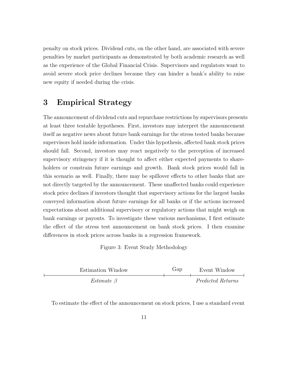penalty on stock prices. Dividend cuts, on the other hand, are associated with severe penalties by market participants as demonstrated by both academic research as well as the experience of the Global Financial Crisis. Supervisors and regulators want to avoid severe stock price declines because they can hinder a bank's ability to raise new equity if needed during the crisis.

### <span id="page-12-0"></span>3 Empirical Strategy

The announcement of dividend cuts and repurchase restrictions by supervisors presents at least three testable hypotheses. First, investors may interpret the announcement itself as negative news about future bank earnings for the stress tested banks because supervisors hold inside information. Under this hypothesis, affected bank stock prices should fall. Second, investors may react negatively to the perception of increased supervisory stringency if it is thought to affect either expected payments to shareholders or constrain future earnings and growth. Bank stock prices would fall in this scenario as well. Finally, there may be spillover effects to other banks that are not directly targeted by the announcement. These unaffected banks could experience stock price declines if investors thought that supervisory actions for the largest banks conveyed information about future earnings for all banks or if the actions increased expectations about additional supervisory or regulatory actions that might weigh on bank earnings or payouts. To investigate these various mechanisms, I first estimate the effect of the stress test announcement on bank stock prices. I then examine differences in stock prices across banks in a regression framework.

Figure 3: Event Study Methodology

<span id="page-12-1"></span>

| Estimation Window | Gap | Event Window      |
|-------------------|-----|-------------------|
| Estimate $\beta$  |     | Predicted Returns |

To estimate the effect of the announcement on stock prices, I use a standard event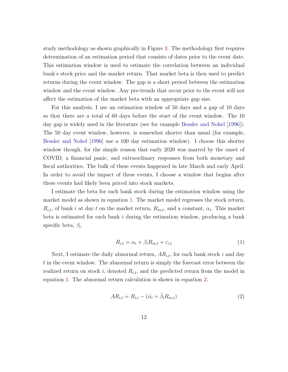study methodology as shown graphically in Figure [3.](#page-12-1) The methodology first requires determination of an estimation period that consists of dates prior to the event date. This estimation window is used to estimate the correlation between an individual bank's stock price and the market return. That market beta is then used to predict returns during the event window. The gap is a short period between the estimation window and the event window. Any pre-trends that occur prior to the event will not affect the estimation of the market beta with an appropriate gap size.

For this analysis, I use an estimation window of 50 days and a gap of 10 days so that there are a total of 60 days before the start of the event window. The 10 day gap is widely used in the literature (see for example [Bessler and Nohel](#page-43-1) [\[1996\]](#page-43-1)). The 50 day event window, however, is somewhat shorter than usual (for example, [Bessler and Nohel](#page-43-1) [\[1996\]](#page-43-1) use a 100 day estimation window). I choose this shorter window though, for the simple reason that early 2020 was marred by the onset of COVID, a financial panic, and extraordinary responses from both monetary and fiscal authorities. The bulk of these events happened in late March and early April. In order to avoid the impact of these events, I choose a window that begins after these events had likely been priced into stock markets.

I estimate the beta for each bank stock during the estimation window using the market model as shown in equation [1.](#page-13-0) The market model regresses the stock return,  $R_{i,t}$ , of bank i at day t on the market return,  $R_{m,t}$ , and a constant,  $\alpha_i$ . This market beta is estimated for each bank  $i$  during the estimation window, producing a bank specific beta,  $\beta_i$ .

<span id="page-13-0"></span>
$$
R_{i,t} = \alpha_i + \beta_i R_{m,t} + \varepsilon_{i,t} \tag{1}
$$

Next, I estimate the daily abnormal return,  $AR_{i,t}$ , for each bank stock i and day t in the event window. The abnormal return is simply the forecast error between the realized return on stock i, denoted  $R_{i,t}$ , and the predicted return from the model in equation [1.](#page-13-0) The abnormal return calculation is shown in equation [2.](#page-13-1)

<span id="page-13-1"></span>
$$
AR_{i,t} = R_{i,t} - (\hat{\alpha}_i + \hat{\beta}_i R_{m,t})
$$
\n
$$
\tag{2}
$$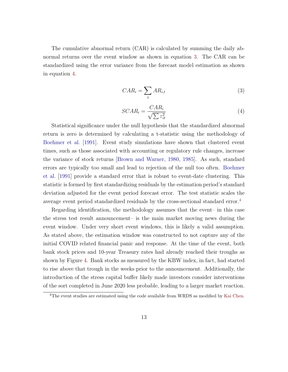The cumulative abnormal return (CAR) is calculated by summing the daily abnormal returns over the event window as shown in equation [3.](#page-14-0) The CAR can be standardized using the error variance from the forecast model estimation as shown in equation [4.](#page-14-1)

<span id="page-14-0"></span>
$$
CAR_i = \sum_{t} AR_{i,t} \tag{3}
$$

<span id="page-14-1"></span>
$$
SCAR_i = \frac{CAR_i}{\sqrt{\sum \varepsilon_{it}^2}}\tag{4}
$$

Statistical significance under the null hypothesis that the standardized abnormal return is zero is determined by calculating a t-statistic using the methodology of [Boehmer et al.](#page-43-3) [\[1991\]](#page-43-3). Event study simulations have shown that clustered event times, such as those associated with accounting or regulatory rule changes, increase the variance of stock returns [\[Brown and Warner,](#page-43-4) [1980,](#page-43-4) [1985\]](#page-43-5). As such, standard errors are typically too small and lead to rejection of the null too often. [Boehmer](#page-43-3) [et al.](#page-43-3) [\[1991\]](#page-43-3) provide a standard error that is robust to event-date clustering. This statistic is formed by first standardizing residuals by the estimation period's standard deviation adjusted for the event period forecast error. The test statistic scales the average event period standardized residuals by the cross-sectional standard error.[4](#page-14-2)

Regarding identification, the methodology assumes that the event– in this case the stress test result announcement– is the main market moving news during the event window. Under very short event windows, this is likely a valid assumption. As stated above, the estimation window was constructed to not capture any of the initial COVID related financial panic and response. At the time of the event, both bank stock prices and 10-year Treasury rates had already reached their troughs as shown by Figure [4.](#page-15-0) Bank stocks as measured by the KBW index, in fact, had started to rise above that trough in the weeks prior to the announcement. Additionally, the introduction of the stress capital buffer likely made investors consider interventions of the sort completed in June 2020 less probable, leading to a larger market reaction.

<span id="page-14-2"></span><sup>&</sup>lt;sup>4</sup>The event studies are estimated using the code available from WRDS as modified by [Kai Chen.](#page-1-0)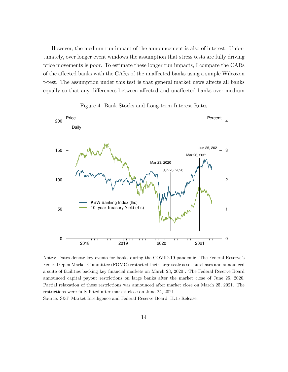However, the medium run impact of the announcement is also of interest. Unfortunately, over longer event windows the assumption that stress tests are fully driving price movements is poor. To estimate these longer run impacts, I compare the CARs of the affected banks with the CARs of the unaffected banks using a simple Wilcoxon t-test. The assumption under this test is that general market news affects all banks equally so that any differences between affected and unaffected banks over medium



<span id="page-15-0"></span>

Notes: Dates denote key events for banks during the COVID-19 pandemic. The Federal Reserve's Federal Open Market Committee (FOMC) restarted their large scale asset purchases and announced a suite of facilities backing key financial markets on March 23, 2020 . The Federal Reserve Board announced capital payout restrictions on large banks after the market close of June 25, 2020. Partial relaxation of these restrictions was announced after market close on March 25, 2021. The restrictions were fully lifted after market close on June 24, 2021.

Source: S&P Market Intelligence and Federal Reserve Board, H.15 Release.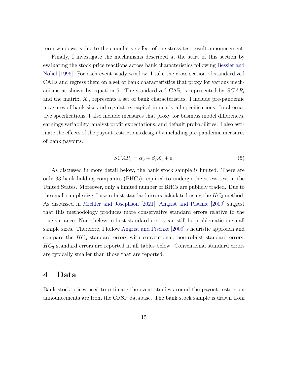term windows is due to the cumulative effect of the stress test result announcement.

Finally, I investigate the mechanisms described at the start of this section by evaluating the stock price reactions across bank characteristics following [Bessler and](#page-43-1) [Nohel](#page-43-1) [\[1996\]](#page-43-1). For each event study window, I take the cross section of standardized CARs and regress them on a set of bank characteristics that proxy for various mech-anisms as shown by equation [5.](#page-16-1) The standardized CAR is represented by  $SCAR_i$ and the matrix,  $X_i$ , represents a set of bank characteristics. I include pre-pandemic measures of bank size and regulatory capital in nearly all specifications. In alternative specifications, I also include measures that proxy for business model differences, earnings variability, analyst profit expectations, and default probabilities. I also estimate the effects of the payout restrictions design by including pre-pandemic measures of bank payouts.

<span id="page-16-1"></span>
$$
SCAR_i = \alpha_0 + \beta_2 X_i + \varepsilon_i \tag{5}
$$

As discussed in more detail below, the bank stock sample is limited. There are only 33 bank holding companies (BHCs) required to undergo the stress test in the United States. Moreover, only a limited number of BHCs are publicly traded. Due to the small sample size, I use robust standard errors calculated using the  $HC_3$  method. As discussed in [Michler and Josephson](#page-44-11) [\[2021\]](#page-44-11), [Angrist and Pischke](#page-43-6) [\[2009\]](#page-43-6) suggest that this methodology produces more conservative standard errors relative to the true variance. Nonetheless, robust standard errors can still be problematic in small sample sizes. Therefore, I follow [Angrist and Pischke](#page-43-6) [\[2009\]](#page-43-6)'s heuristic approach and compare the  $HC_3$  standard errors with conventional, non-robust standard errors.  $HC<sub>3</sub>$  standard errors are reported in all tables below. Conventional standard errors are typically smaller than those that are reported.

### <span id="page-16-0"></span>4 Data

Bank stock prices used to estimate the event studies around the payout restriction announcements are from the CRSP database. The bank stock sample is drawn from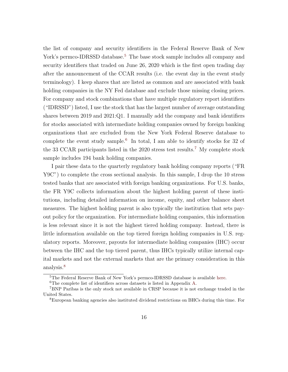the list of company and security identifiers in the Federal Reserve Bank of New York's permco-IDRSSD database.<sup>[5](#page-17-0)</sup> The base stock sample includes all company and security identifiers that traded on June 26, 2020 which is the first open trading day after the announcement of the CCAR results (i.e. the event day in the event study terminology). I keep shares that are listed as common and are associated with bank holding companies in the NY Fed database and exclude those missing closing prices. For company and stock combinations that have multiple regulatory report identifiers ("IDRSSD") listed, I use the stock that has the largest number of average outstanding shares between 2019 and 2021:Q1. I manually add the company and bank identifiers for stocks associated with intermediate holding companies owned by foreign banking organizations that are excluded from the New York Federal Reserve database to complete the event study sample.<sup>[6](#page-17-1)</sup> In total, I am able to identify stocks for 32 of the 33 CCAR participants listed in the 2020 stress test results.[7](#page-17-2) My complete stock sample includes 194 bank holding companies.

I pair these data to the quarterly regulatory bank holding company reports ("FR Y9C") to complete the cross sectional analysis. In this sample, I drop the 10 stress tested banks that are associated with foreign banking organizations. For U.S. banks, the FR Y9C collects information about the highest holding parent of these institutions, including detailed information on income, equity, and other balance sheet measures. The highest holding parent is also typically the institution that sets payout policy for the organization. For intermediate holding companies, this information is less relevant since it is not the highest tiered holding company. Instead, there is little information available on the top tiered foreign holding companies in U.S. regulatory reports. Moreover, payouts for intermediate holding companies (IHC) occur between the IHC and the top tiered parent, thus IHCs typically utilize internal capital markets and not the external markets that are the primary consideration in this analysis.<sup>[8](#page-17-3)</sup>

<span id="page-17-0"></span><sup>5</sup>The Federal Reserve Bank of New York's permco-IDRSSD database is available [here.](#page-1-0)

<span id="page-17-2"></span><span id="page-17-1"></span> ${}^{6}{\rm The}$  complete list of identifiers across datasets is listed in Appendix [A.](#page-42-0)

<sup>7</sup>BNP Paribas is the only stock not available in CRSP because it is not exchange traded in the United States.

<span id="page-17-3"></span><sup>8</sup>European banking agencies also instituted dividend restrictions on BHCs during this time. For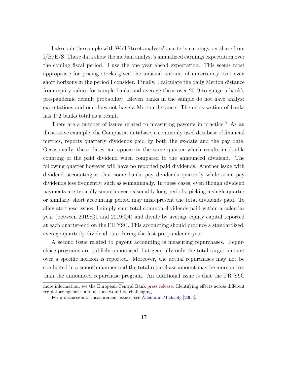I also pair the sample with Wall Street analysts' quarterly earnings per share from I/B/E/S. These data show the median analyst's annualized earnings expectation over the coming fiscal period. I use the one year ahead expectation. This seems most appropriate for pricing stocks given the unusual amount of uncertainty over even short horizons in the period I consider. Finally, I calculate the daily Merton distance from equity values for sample banks and average these over 2019 to gauge a bank's pre-pandemic default probability. Eleven banks in the sample do not have analyst expectations and one does not have a Merton distance. The cross-section of banks has 172 banks total as a result.

There are a number of issues related to measuring payouts in practice.<sup>[9](#page-18-0)</sup> As an illustrative example, the Compustat database, a commonly used database of financial metrics, reports quarterly dividends paid by both the ex-date and the pay date. Occasionally, these dates can appear in the same quarter which results in double counting of the paid dividend when compared to the announced dividend. The following quarter however will have no reported paid dividends. Another issue with dividend accounting is that some banks pay dividends quarterly while some pay dividends less frequently, such as semiannually. In these cases, even though dividend payments are typically smooth over reasonably long periods, picking a single quarter or similarly short accounting period may misrepresent the total dividends paid. To alleviate these issues, I simply sum total common dividends paid within a calendar year (between 2019:Q1 and 2019:Q4) and divide by average equity capital reported at each quarter-end on the FR Y9C. This accounting should produce a standardized, average quarterly dividend rate during the last pre-pandemic year.

A second issue related to payout accounting is measuring repurchases. Repurchase programs are publicly announced, but generally only the total target amount over a specific horizon is reported. Moreover, the actual repurchases may not be conducted in a smooth manner and the total repurchase amount may be more or less than the announced repurchase program. An additional issue is that the FR Y9C

more information, see the European Central Bank [press release.](#page-1-0) Identifying effects across different regulatory agencies and actions would be challenging.

<span id="page-18-0"></span><sup>9</sup>For a discussion of measurement issues, see [Allen and Michaely](#page-43-7) [\[2003\]](#page-43-7).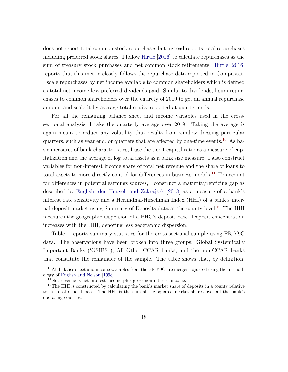does not report total common stock repurchases but instead reports total repurchases including preferred stock shares. I follow [Hirtle](#page-44-7) [\[2016\]](#page-44-7) to calculate repurchases as the sum of treasury stock purchases and net common stock retirements. [Hirtle](#page-44-7) [\[2016\]](#page-44-7) reports that this metric closely follows the repurchase data reported in Compustat. I scale repurchases by net income available to common shareholders which is defined as total net income less preferred dividends paid. Similar to dividends, I sum repurchases to common shareholders over the entirety of 2019 to get an annual repurchase amount and scale it by average total equity reported at quarter-ends.

For all the remaining balance sheet and income variables used in the crosssectional analysis, I take the quarterly average over 2019. Taking the average is again meant to reduce any volatility that results from window dressing particular quarters, such as year end, or quarters that are affected by one-time events.[10](#page-19-0) As basic measures of bank characteristics, I use the tier 1 capital ratio as a measure of capitalization and the average of log total assets as a bank size measure. I also construct variables for non-interest income share of total net revenue and the share of loans to total assets to more directly control for differences in business models.<sup>[11](#page-19-1)</sup> To account for differences in potential earnings sources, I construct a maturity/repricing gap as described by English, den Heuvel, and Zakrajšek [\[2018\]](#page-43-8) as a measure of a bank's interest rate sensitivity and a Herfindhal-Hirschman Index (HHI) of a bank's inter-nal deposit market using Summary of Deposits data at the county level.<sup>[12](#page-19-2)</sup> The HHI measures the geographic dispersion of a BHC's deposit base. Deposit concentration increases with the HHI, denoting less geographic dispersion.

Table [1](#page-21-0) reports summary statistics for the cross-sectional sample using FR Y9C data. The observations have been broken into three groups: Global Systemically Important Banks ('GSIBS"), All Other CCAR banks, and the non-CCAR banks that constitute the remainder of the sample. The table shows that, by definition,

<span id="page-19-0"></span><sup>&</sup>lt;sup>10</sup>All balance sheet and income variables from the FR Y9C are merger-adjusted using the methodology of [English and Nelson](#page-43-9) [\[1998\]](#page-43-9).

<span id="page-19-2"></span><span id="page-19-1"></span><sup>11</sup>Net revenue is net interest income plus gross non-interest income.

 $12$ The HHI is constructed by calculating the bank's market share of deposits in a county relative to its total deposit base. The HHI is the sum of the squared market shares over all the bank's operating counties.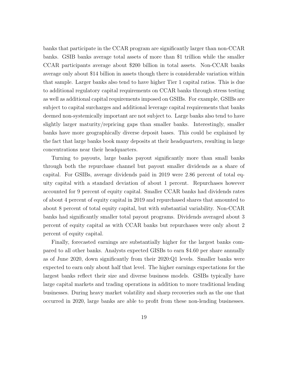banks that participate in the CCAR program are significantly larger than non-CCAR banks. GSIB banks average total assets of more than \$1 trillion while the smaller CCAR participants average about \$200 billion in total assets. Non-CCAR banks average only about \$14 billion in assets though there is considerable variation within that sample. Larger banks also tend to have higher Tier 1 capital ratios. This is due to additional regulatory capital requirements on CCAR banks through stress testing as well as additional capital requirements imposed on GSIBs. For example, GSIBs are subject to capital surcharges and additional leverage capital requirements that banks deemed non-systemically important are not subject to. Large banks also tend to have slightly larger maturity/repricing gaps than smaller banks. Interestingly, smaller banks have more geographically diverse deposit bases. This could be explained by the fact that large banks book many deposits at their headquarters, resulting in large concentrations near their headquarters.

Turning to payouts, large banks payout significantly more than small banks through both the repurchase channel but payout smaller dividends as a share of capital. For GSIBs, average dividends paid in 2019 were 2.86 percent of total equity capital with a standard deviation of about 1 percent. Repurchases however accounted for 9 percent of equity capital. Smaller CCAR banks had dividends rates of about 4 percent of equity capital in 2019 and repurchased shares that amounted to about 8 percent of total equity capital, but with substantial variability. Non-CCAR banks had significantly smaller total payout programs. Dividends averaged about 3 percent of equity capital as with CCAR banks but repurchases were only about 2 percent of equity capital.

Finally, forecasted earnings are substantially higher for the largest banks compared to all other banks. Analysts expected GISBs to earn \$4.60 per share annually as of June 2020, down significantly from their 2020:Q1 levels. Smaller banks were expected to earn only about half that level. The higher earnings expectations for the largest banks reflect their size and diverse business models. GSIBs typically have large capital markets and trading operations in addition to more traditional lending businesses. During heavy market volatility and sharp recoveries such as the one that occurred in 2020, large banks are able to profit from these non-lending businesses.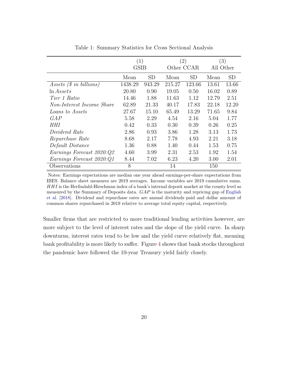<span id="page-21-0"></span>

|                                  | (1)     |           | (2)        |           | $\left(3\right)$ |           |  |
|----------------------------------|---------|-----------|------------|-----------|------------------|-----------|--|
|                                  | GSIB    |           | Other CCAR |           | All Other        |           |  |
|                                  | Mean    | <b>SD</b> | Mean       | <b>SD</b> | Mean             | <b>SD</b> |  |
| Assets $(\text{\$ in billions})$ | 1438.29 | 943.29    | 215.27     | 123.66    | 13.61            | 13.66     |  |
| $\ln Assets$                     | 20.80   | 0.90      | 19.05      | 0.50      | 16.02            | 0.89      |  |
| <i>Tier 1 Ratio</i>              | 14.46   | 1.88      | 11.63      | 1.12      | 12.79            | 2.51      |  |
| Non-Interest Income Share        | 62.89   | 21.33     | 40.17      | 17.83     | 22.18            | 12.20     |  |
| Loans to Assets                  | 27.67   | 15.10     | 65.49      | 13.29     | 71.65            | 9.84      |  |
| GAP                              | 5.58    | 2.29      | 4.54       | 2.16      | 5.04             | 1.77      |  |
| HHI                              | 0.42    | 0.33      | 0.30       | 0.39      | 0.26             | 0.25      |  |
| Dividend Rate                    | 2.86    | 0.93      | 3.86       | 1.28      | 3.13             | 1.73      |  |
| Repurchase Rate                  | 8.68    | 2.17      | 7.78       | 4.93      | 2.21             | 3.18      |  |
| Default Distance                 | 1.36    | 0.88      | 1.40       | 0.44      | 1.53             | 0.75      |  |
| Earnings Forecast 2020:Q2        | 4.60    | 3.99      | 2.31       | 2.53      | 1.92             | 1.54      |  |
| Earnings Forecast 2020:Q1        | 8.44    | 7.02      | 6.23       | 4.20      | 3.00             | 2.01      |  |
| Observations                     | 8       |           | 14         |           | 150              |           |  |

Table 1: Summary Statistics for Cross Sectional Analysis

Notes: Earnings expectations are median one year ahead earnings-per-share expectations from IBES. Balance sheet measures are 2019 averages. Income variables are 2019 cumulative sums. HHI is the Herfindahl-Hirschman index of a bank's internal deposit market at the county level as measured by the Summary of Deposits data. GAP is the maturity and repricing gap of [English](#page-43-8) [et al.](#page-43-8) [\[2018\]](#page-43-8). Dividend and repurchase rates are annual dividends paid and dollar amount of common shares repurchased in 2019 relative to average total equity capital, respectively.

Smaller firms that are restricted to more traditional lending activities however, are more subject to the level of interest rates and the slope of the yield curve. In sharp downturns, interest rates tend to be low and the yield curve relatively flat, meaning bank profitability is more likely to suffer. Figure [4](#page-15-0) shows that bank stocks throughout the pandemic have followed the 10-year Treasury yield fairly closely.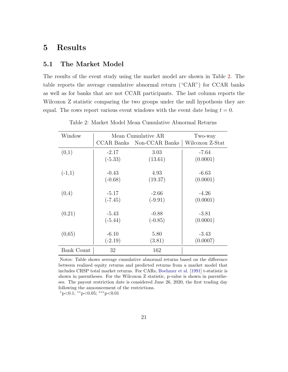## <span id="page-22-0"></span>5 Results

#### 5.1 The Market Model

The results of the event study using the market model are shown in Table [2.](#page-22-1) The table reports the average cumulative abnormal return ("CAR") for CCAR banks as well as for banks that are not CCAR participants. The last column reports the Wilcoxon Z statistic comparing the two groups under the null hypothesis they are equal. The rows report various event windows with the event date being  $t = 0$ .

<span id="page-22-1"></span>

| Window            |           | Mean Cumulative AR        | Two-way         |
|-------------------|-----------|---------------------------|-----------------|
|                   |           | CCAR Banks Non-CCAR Banks | Wilcoxon Z-Stat |
| (0,1)             | $-2.17$   | 3.03                      | -7.64           |
|                   | $(-5.33)$ | (13.61)                   | (0.0001)        |
| $(-1,1)$          | $-0.43$   | 4.93                      | $-6.63$         |
|                   | $(-0.68)$ | (19.37)                   | (0.0001)        |
| (0,4)             | $-5.17$   | $-2.66$                   | $-4.26$         |
|                   | $(-7.45)$ | $(-9.91)$                 | (0.0001)        |
| (0,21)            | $-5.43$   | $-0.88$                   | $-3.81$         |
|                   | $(-5.44)$ | $(-0.85)$                 | (0.0001)        |
| (0,65)            | $-6.10$   | 5.80                      | $-3.43$         |
|                   | $(-2.19)$ | (3.81)                    | (0.0007)        |
| <b>Bank Count</b> | 32        | 162                       |                 |

Table 2: Market Model Mean Cumulative Abnormal Returns

Notes: Table shows average cumulative abnormal returns based on the difference between realized equity returns and predicted returns from a market model that includes CRSP total market returns. For CARs, [Boehmer et al.](#page-43-3) [\[1991\]](#page-43-3) t-statistic is shown in parentheses. For the Wilcoxon Z statistic, p-value is shown in parentheses. The payout restriction date is considered June 26, 2020, the first trading day following the announcement of the restrictions.

 $*p<0.1$ ; \*\*p<0.05; \*\*\*p<0.01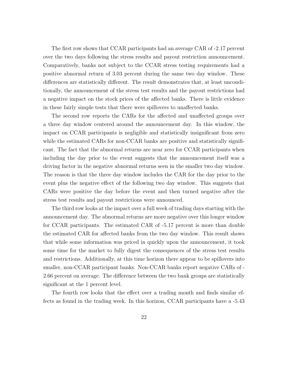The first row shows that CCAR participants had an average CAR of -2.17 percent over the two days following the stress results and payout restriction announcement. Comparatively, banks not subject to the CCAR stress testing requirements had a positive abnormal return of 3.03 percent during the same two day window. These differences are statistically different. The result demonstrates that, at least unconditionally, the announcement of the stress test results and the payout restrictions had a negative impact on the stock prices of the affected banks. There is little evidence in these fairly simple tests that there were spillovers to unaffected banks.

The second row reports the CARs for the affected and unaffected groups over a three day window centered around the announcement day. In this window, the impact on CCAR participants is negligible and statistically insignificant from zero while the estimated CARs for non-CCAR banks are positive and statistically significant. The fact that the abnormal returns are near zero for CCAR participants when including the day prior to the event suggests that the announcement itself was a driving factor in the negative abnormal returns seen in the smaller two day window. The reason is that the three day window includes the CAR for the day prior to the event plus the negative effect of the following two day window. This suggests that CARs were positive the day before the event and then turned negative after the stress test results and payout restrictions were announced.

The third row looks at the impact over a full week of trading days starting with the announcement day. The abnormal returns are more negative over this longer window for CCAR participants. The estimated CAR of -5.17 percent is more than double the estimated CAR for affected banks from the two day window. This result shows that while some information was priced in quickly upon the announcement, it took some time for the market to fully digest the consequences of the stress test results and restrictions. Additionally, at this time horizon there appear to be spillovers into smaller, non-CCAR participant banks. Non-CCAR banks report negative CARs of - 2.66 percent on average. The difference between the two bank groups are statistically significant at the 1 percent level.

The fourth row looks that the effect over a trading month and finds similar effects as found in the trading week. In this horizon, CCAR participants have a -5.43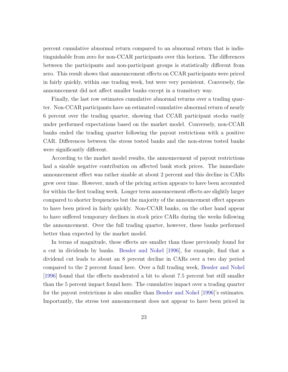percent cumulative abnormal return compared to an abnormal return that is indistinguishable from zero for non-CCAR participants over this horizon. The differences between the participants and non-participant groups is statistically different from zero. This result shows that announcement effects on CCAR participants were priced in fairly quickly, within one trading week, but were very persistent. Conversely, the announcement did not affect smaller banks except in a transitory way.

Finally, the last row estimates cumulative abnormal returns over a trading quarter. Non-CCAR participants have an estimated cumulative abnormal return of nearly 6 percent over the trading quarter, showing that CCAR participant stocks vastly under performed expectations based on the market model. Conversely, non-CCAR banks ended the trading quarter following the payout restrictions with a positive CAR. Differences between the stress tested banks and the non-stress tested banks were significantly different.

According to the market model results, the announcement of payout restrictions had a sizable negative contribution on affected bank stock prices. The immediate announcement effect was rather sizable at about 2 percent and this decline in CARs grew over time. However, much of the pricing action appears to have been accounted for within the first trading week. Longer term announcement effects are slightly larger compared to shorter frequencies but the majority of the announcement effect appears to have been priced in fairly quickly. Non-CCAR banks, on the other hand appear to have suffered temporary declines in stock price CARs during the weeks following the announcement. Over the full trading quarter, however, these banks performed better than expected by the market model.

In terms of magnitude, these effects are smaller than those previously found for a cut in dividends by banks. [Bessler and Nohel](#page-43-1) [\[1996\]](#page-43-1), for example, find that a dividend cut leads to about an 8 percent decline in CARs over a two day period compared to the 2 percent found here. Over a full trading week, [Bessler and Nohel](#page-43-1) [\[1996\]](#page-43-1) found that the effects moderated a bit to about 7.5 percent but still smaller than the 5 percent impact found here. The cumulative impact over a trading quarter for the payout restrictions is also smaller than [Bessler and Nohel](#page-43-1) [\[1996\]](#page-43-1)'s estimates. Importantly, the stress test announcement does not appear to have been priced in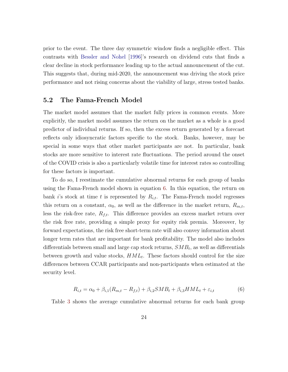prior to the event. The three day symmetric window finds a negligible effect. This contrasts with [Bessler and Nohel](#page-43-1) [\[1996\]](#page-43-1)'s research on dividend cuts that finds a clear decline in stock performance leading up to the actual announcement of the cut. This suggests that, during mid-2020, the announcement was driving the stock price performance and not rising concerns about the viability of large, stress tested banks.

#### 5.2 The Fama-French Model

The market model assumes that the market fully prices in common events. More explicitly, the market model assumes the return on the market as a whole is a good predictor of individual returns. If so, then the excess return generated by a forecast reflects only idiosyncratic factors specific to the stock. Banks, however, may be special in some ways that other market participants are not. In particular, bank stocks are more sensitive to interest rate fluctuations. The period around the onset of the COVID crisis is also a particularly volatile time for interest rates so controlling for these factors is important.

To do so, I reestimate the cumulative abnormal returns for each group of banks using the Fama-French model shown in equation [6.](#page-25-0) In this equation, the return on bank i's stock at time t is represented by  $R_{i,t}$ . The Fama-French model regresses this return on a constant,  $\alpha_0$ , as well as the difference in the market return,  $R_{m,t}$ , less the risk-free rate,  $R_{f,t}$ . This difference provides an excess market return over the risk free rate, providing a simple proxy for equity risk premia. Moreover, by forward expectations, the risk free short-term rate will also convey information about longer term rates that are important for bank profitability. The model also includes differentials between small and large cap stock returns,  $SMB_t$ , as well as differentials between growth and value stocks,  $HML_t$ . These factors should control for the size differences between CCAR participants and non-participants when estimated at the security level.

<span id="page-25-0"></span>
$$
R_{i,t} = \alpha_0 + \beta_{i,1}(R_{m,t} - R_{f,t}) + \beta_{i,2}SMB_t + \beta_{i,3}HML_t + \varepsilon_{i,t}
$$
(6)

Table [3](#page-26-0) shows the average cumulative abnormal returns for each bank group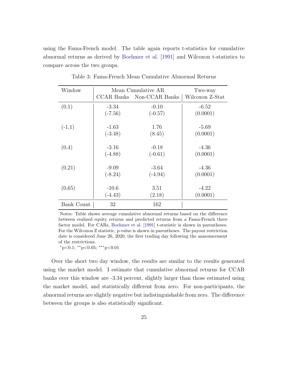using the Fama-French model. The table again reports t-statistics for cumulative abnormal returns as derived by [Boehmer et al.](#page-43-3) [\[1991\]](#page-43-3) and Wilcoxon t-statistics to compare across the two groups.

<span id="page-26-0"></span>

| Window     |           | Mean Cumulative AR               | Two-way         |
|------------|-----------|----------------------------------|-----------------|
|            |           | <b>CCAR Banks</b> Non-CCAR Banks | Wilcoxon Z-Stat |
| (0,1)      | $-3.34$   | $-0.10$                          | $-6.52$         |
|            | $(-7.56)$ | $(-0.57)$                        | (0.0001)        |
| $(-1,1)$   | $-1.63$   | 1.76                             | $-5.69$         |
|            | $(-3.48)$ | (8.45)                           | (0.0001)        |
| (0,4)      | $-3.16$   | $-0.18$                          | $-4.36$         |
|            | $(-4.88)$ | $(-0.61)$                        | (0.0001)        |
| (0,21)     | $-9.09$   | $-3.64$                          | $-4.36$         |
|            | $(-8.24)$ | $(-4.94)$                        | (0.0001)        |
| (0,65)     | $-10.6$   | 3.51                             | $-4.22$         |
|            | $(-4.43)$ | (2.18)                           | (0.0001)        |
| Bank Count | 32        | 162                              |                 |

Table 3: Fama-French Mean Cumulative Abnormal Returns

Notes: Table shows average cumulative abnormal returns based on the difference between realized equity returns and predicted returns from a Fama-French three factor model. For CARs, [Boehmer et al.](#page-43-3) [\[1991\]](#page-43-3) t-statistic is shown in parentheses. For the Wilcoxon Z statistic, p-value is shown in parentheses. The payout restriction date is considered June 26, 2020, the first trading day following the announcement of the restrictions.

<sup>∗</sup>p<0.1; ∗∗p<0.05; ∗∗∗p<0.01

Over the short two day window, the results are similar to the results generated using the market model. I estimate that cumulative abnormal returns for CCAR banks over this window are -3.34 percent, slightly larger than those estimated using the market model, and statistically different from zero. For non-participants, the abnormal returns are slightly negative but indistinguishable from zero. The difference between the groups is also statistically significant.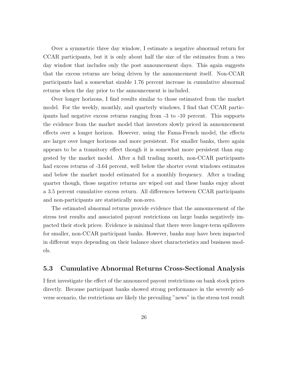Over a symmetric three day window, I estimate a negative abnormal return for CCAR participants, but it is only about half the size of the estimates from a two day window that includes only the post announcement days. This again suggests that the excess returns are being driven by the announcement itself. Non-CCAR participants had a somewhat sizable 1.76 percent increase in cumulative abnormal returns when the day prior to the announcement is included.

Over longer horizons, I find results similar to those estimated from the market model. For the weekly, monthly, and quarterly windows, I find that CCAR participants had negative excess returns ranging from -3 to -10 percent. This supports the evidence from the market model that investors slowly priced in announcement effects over a longer horizon. However, using the Fama-French model, the effects are larger over longer horizons and more persistent. For smaller banks, there again appears to be a transitory effect though it is somewhat more persistent than suggested by the market model. After a full trading month, non-CCAR participants had excess returns of -3.64 percent, well below the shorter event windows estimates and below the market model estimated for a monthly frequency. After a trading quarter though, those negative returns are wiped out and these banks enjoy about a 3.5 percent cumulative excess return. All differences between CCAR participants and non-participants are statistically non-zero.

The estimated abnormal returns provide evidence that the announcement of the stress test results and associated payout restrictions on large banks negatively impacted their stock prices. Evidence is minimal that there were longer-term spillovers for smaller, non-CCAR participant banks. However, banks may have been impacted in different ways depending on their balance sheet characteristics and business models.

#### 5.3 Cumulative Abnormal Returns Cross-Sectional Analysis

I first investigate the effect of the announced payout restrictions on bank stock prices directly. Because participant banks showed strong performance in the severely adverse scenario, the restrictions are likely the prevailing "news" in the stress test result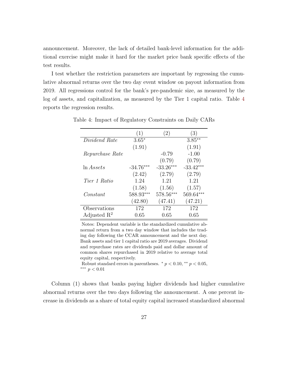announcement. Moreover, the lack of detailed bank-level information for the additional exercise might make it hard for the market price bank specific effects of the test results.

I test whether the restriction parameters are important by regressing the cumulative abnormal returns over the two day event window on payout information from 2019. All regressions control for the bank's pre-pandemic size, as measured by the log of assets, and capitalization, as measured by the Tier 1 capital ratio. Table [4](#page-28-0) reports the regression results.

|                         | (1)         | (2)         | (3)         |
|-------------------------|-------------|-------------|-------------|
| Dividend Rate           | $3.65*$     |             | $3.85**$    |
|                         | (1.91)      |             | (1.91)      |
| Repurchase Rate         |             | $-0.79$     | $-1.00$     |
|                         |             | (0.79)      | (0.79)      |
| $\ln Assets$            | $-34.76***$ | $-33.26***$ | $-33.42***$ |
|                         | (2.42)      | (2.79)      | (2.79)      |
| Tier 1 Ratio            | 1.24        | 1.21        | 1.21        |
|                         | (1.58)      | (1.56)      | (1.57)      |
| Constant                | 588.93***   | 578.56***   | 569.64***   |
|                         | (42.80)     | (47.41)     | (47.21)     |
| Observations            | 172         | 172         | 172         |
| Adjusted $\mathbb{R}^2$ | 0.65        | 0.65        | 0.65        |

<span id="page-28-0"></span>Table 4: Impact of Regulatory Constraints on Daily CARs

Notes: Dependent variable is the standardized cumulative abnormal return from a two day window that includes the trading day following the CCAR announcement and the next day. Bank assets and tier 1 capital ratio are 2019 averages. Dividend and repurchase rates are dividends paid and dollar amount of common shares repurchased in 2019 relative to average total equity capital, respectively.

Robust standard errors in parentheses.  $* p < 0.10, ** p < 0.05$ , ∗∗∗ p < 0.01

Column (1) shows that banks paying higher dividends had higher cumulative abnormal returns over the two days following the announcement. A one percent increase in dividends as a share of total equity capital increased standardized abnormal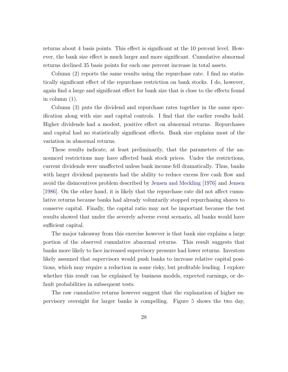returns about 4 basis points. This effect is significant at the 10 percent level. However, the bank size effect is much larger and more significant. Cumulative abnormal returns declined 35 basis points for each one percent increase in total assets.

Column (2) reports the same results using the repurchase rate. I find no statistically significant effect of the repurchase restriction on bank stocks. I do, however, again find a large and significant effect for bank size that is close to the effects found in column (1).

Column (3) puts the dividend and repurchase rates together in the same specification along with size and capital controls. I find that the earlier results hold. Higher dividends had a modest, positive effect on abnormal returns. Repurchases and capital had no statistically significant effects. Bank size explains most of the variation in abnormal returns.

These results indicate, at least preliminarily, that the parameters of the announced restrictions may have affected bank stock prices. Under the restrictions, current dividends were unaffected unless bank income fell dramatically. Thus, banks with larger dividend payments had the ability to reduce excess free cash flow and avoid the disincentives problem described by [Jensen and Meckling](#page-44-2) [\[1976\]](#page-44-2) and [Jensen](#page-44-3) [\[1986\]](#page-44-3). On the other hand, it is likely that the repurchase rate did not affect cumulative returns because banks had already voluntarily stopped repurchasing shares to conserve capital. Finally, the capital ratio may not be important because the test results showed that under the severely adverse event scenario, all banks would have sufficient capital.

The major takeaway from this exercise however is that bank size explains a large portion of the observed cumulative abnormal returns. This result suggests that banks more likely to face increased supervisory pressure had lower returns. Investors likely assumed that supervisors would push banks to increase relative capital positions, which may require a reduction in some risky, but profitable lending. I explore whether this result can be explained by business models, expected earnings, or default probabilities in subsequent tests.

The raw cumulative returns however suggest that the explanation of higher supervisory oversight for larger banks is compelling. Figure [5](#page-30-0) shows the two day,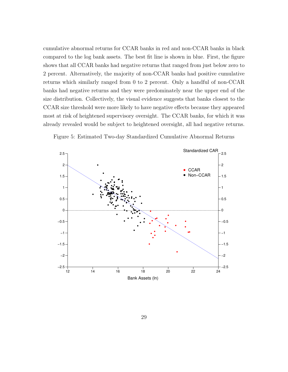cumulative abnormal returns for CCAR banks in red and non-CCAR banks in black compared to the log bank assets. The best fit line is shown in blue. First, the figure shows that all CCAR banks had negative returns that ranged from just below zero to 2 percent. Alternatively, the majority of non-CCAR banks had positive cumulative returns which similarly ranged from 0 to 2 percent. Only a handful of non-CCAR banks had negative returns and they were predominately near the upper end of the size distribution. Collectively, the visual evidence suggests that banks closest to the CCAR size threshold were more likely to have negative effects because they appeared most at risk of heightened supervisory oversight. The CCAR banks, for which it was already revealed would be subject to heightened oversight, all had negative returns.



<span id="page-30-0"></span>Figure 5: Estimated Two-day Standardized Cumulative Abnormal Returns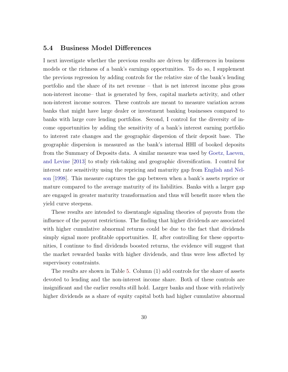#### 5.4 Business Model Differences

I next investigate whether the previous results are driven by differences in business models or the richness of a bank's earnings opportunities. To do so, I supplement the previous regression by adding controls for the relative size of the bank's lending portfolio and the share of its net revenue – that is net interest income plus gross non-interest income– that is generated by fees, capital markets activity, and other non-interest income sources. These controls are meant to measure variation across banks that might have large dealer or investment banking businesses compared to banks with large core lending portfolios. Second, I control for the diversity of income opportunities by adding the sensitivity of a bank's interest earning portfolio to interest rate changes and the geographic dispersion of their deposit base. The geographic dispersion is measured as the bank's internal HHI of booked deposits from the Summary of Deposits data. A similar measure was used by [Goetz, Laeven,](#page-44-12) [and Levine](#page-44-12) [\[2013\]](#page-44-12) to study risk-taking and geographic diversification. I control for interest rate sensitivity using the repricing and maturity gap from [English and Nel](#page-43-9)[son](#page-43-9) [\[1998\]](#page-43-9). This measure captures the gap between when a bank's assets reprice or mature compared to the average maturity of its liabilities. Banks with a larger gap are engaged in greater maturity transformation and thus will benefit more when the yield curve steepens.

These results are intended to disentangle signaling theories of payouts from the influence of the payout restrictions. The finding that higher dividends are associated with higher cumulative abnormal returns could be due to the fact that dividends simply signal more profitable opportunities. If, after controlling for these opportunities, I continue to find dividends boosted returns, the evidence will suggest that the market rewarded banks with higher dividends, and thus were less affected by supervisory constraints.

The results are shown in Table [5.](#page-32-0) Column (1) add controls for the share of assets devoted to lending and the non-interest income share. Both of these controls are insignificant and the earlier results still hold. Larger banks and those with relatively higher dividends as a share of equity capital both had higher cumulative abnormal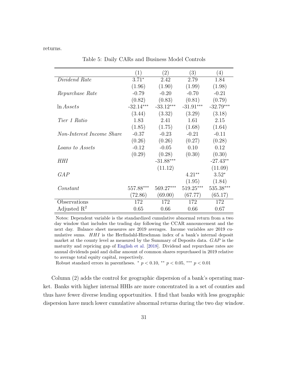<span id="page-32-0"></span>returns.

 $(1)$   $(2)$   $(3)$   $(4)$ Dividend Rate 3.71<sup>∗</sup> 2.42 2.79 1.84  $(1.96)$   $(1.90)$   $(1.99)$   $(1.98)$ Repurchase Rate -0.79 -0.20 -0.70 -0.21  $(0.82)$   $(0.83)$   $(0.81)$   $(0.79)$ ln Assets -32.14<sup>\*\*\*</sup> -33.12<sup>\*\*\*</sup> -31.91<sup>\*\*\*</sup> -32.79<sup>\*\*\*</sup>  $(3.44)$   $(3.32)$   $(3.29)$   $(3.18)$ Tier 1 Ratio 1.83 2.41 1.61 2.15  $(1.85)$   $(1.75)$   $(1.68)$   $(1.64)$ Non-Interest Income Share -0.37 -0.23 -0.21 -0.11  $(0.26)$   $(0.26)$   $(0.27)$   $(0.28)$  $Loans to Assets$  -0.12 -0.05 0.10 0.12  $(0.29)$   $(0.28)$   $(0.30)$   $(0.30)$  $HHI$  -31.88<sup>\*\*\*</sup> -27.43<sup>\*\*</sup>  $(11.12)$   $(11.09)$ GAP  $4.21^{**}$   $3.52^{*}$  $(1.95)$   $(1.84)$ Constant 557.88∗∗∗ 569.27∗∗∗ 519.25∗∗∗ 535.38∗∗∗  $(72.86)$   $(69.00)$   $(67.77)$   $(65.17)$ Observations 172 172 172 172 Adjusted  $R^2$  0.65 0.66 0.66 0.67

Table 5: Daily CARs and Business Model Controls

Notes: Dependent variable is the standardized cumulative abnormal return from a two day window that includes the trading day following the CCAR announcement and the next day. Balance sheet measures are 2019 averages. Income variables are 2019 cumulative sums. HHI is the Herfindahl-Hirschman index of a bank's internal deposit market at the county level as measured by the Summary of Deposits data. GAP is the maturity and repricing gap of [English et al.](#page-43-8) [\[2018\]](#page-43-8). Dividend and repurchase rates are annual dividends paid and dollar amount of common shares repurchased in 2019 relative to average total equity capital, respectively.

Robust standard errors in parentheses.  $*$   $p < 0.10$ ,  $**$   $p < 0.05$ ,  $***$   $p < 0.01$ 

Column (2) adds the control for geographic dispersion of a bank's operating market. Banks with higher internal HHIs are more concentrated in a set of counties and thus have fewer diverse lending opportunities. I find that banks with less geographic dispersion have much lower cumulative abnormal returns during the two day window.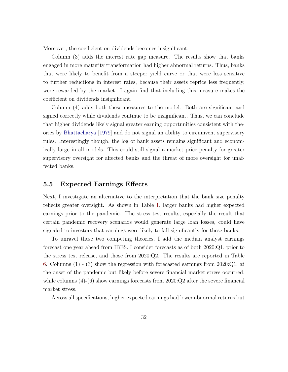Moreover, the coefficient on dividends becomes insignificant.

Column (3) adds the interest rate gap measure. The results show that banks engaged in more maturity transformation had higher abnormal returns. Thus, banks that were likely to benefit from a steeper yield curve or that were less sensitive to further reductions in interest rates, because their assets reprice less frequently, were rewarded by the market. I again find that including this measure makes the coefficient on dividends insignificant.

Column (4) adds both these measures to the model. Both are significant and signed correctly while dividends continue to be insignificant. Thus, we can conclude that higher dividends likely signal greater earning opportunities consistent with theories by [Bhattacharya](#page-43-0) [\[1979\]](#page-43-0) and do not signal an ability to circumvent supervisory rules. Interestingly though, the log of bank assets remains significant and economically large in all models. This could still signal a market price penalty for greater supervisory oversight for affected banks and the threat of more oversight for unaffected banks.

#### 5.5 Expected Earnings Effects

Next, I investigate an alternative to the interpretation that the bank size penalty reflects greater oversight. As shown in Table [1,](#page-21-0) larger banks had higher expected earnings prior to the pandemic. The stress test results, especially the result that certain pandemic recovery scenarios would generate large loan losses, could have signaled to investors that earnings were likely to fall significantly for these banks.

To unravel these two competing theories, I add the median analyst earnings forecast one year ahead from IBES. I consider forecasts as of both 2020:Q1, prior to the stress test release, and those from 2020:Q2. The results are reported in Table [6.](#page-34-0) Columns (1) - (3) show the regression with forecasted earnings from 2020:Q1, at the onset of the pandemic but likely before severe financial market stress occurred, while columns  $(4)-(6)$  show earnings forecasts from  $2020:Q2$  after the severe financial market stress.

Across all specifications, higher expected earnings had lower abnormal returns but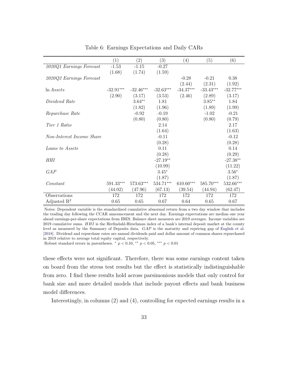<span id="page-34-0"></span>

|                           | $\left(1\right)$ | $\left( 2\right)$ | $\left(3\right)$ | (4)         | (5)         | (6)         |
|---------------------------|------------------|-------------------|------------------|-------------|-------------|-------------|
| 2020Q1 Earnings Forecast  | $-1.53$          | $-1.15$           | $-0.27$          |             |             |             |
|                           | (1.68)           | (1.74)            | (1.59)           |             |             |             |
| 2020Q2 Earnings Forecast  |                  |                   |                  | $-0.28$     | $-0.21$     | 0.38        |
|                           |                  |                   |                  | (2.44)      | (2.31)      | (1.92)      |
| $\ln Assets$              | $-32.91***$      | $-32.46***$       | $-32.63***$      | $-34.37***$ | $-33.43***$ | $-32.77***$ |
|                           | (2.90)           | (3.17)            | (3.53)           | (2.46)      | (2.89)      | (3.17)      |
| Dividend Rate             |                  | $3.64**$          | 1.81             |             | $3.85***$   | 1.84        |
|                           |                  | (1.82)            | (1.96)           |             | (1.89)      | (1.99)      |
| Repurchase Rate           |                  | $-0.92$           | $-0.19$          |             | $-1.02$     | $-0.21$     |
|                           |                  | (0.80)            | (0.80)           |             | (0.80)      | (0.79)      |
| Tier 1 Ratio              |                  |                   | 2.14             |             |             | 2.17        |
|                           |                  |                   | (1.64)           |             |             | (1.63)      |
| Non-Interest Income Share |                  |                   | $-0.11$          |             |             | $-0.12$     |
|                           |                  |                   | (0.28)           |             |             | (0.28)      |
| Loans to Assets           |                  |                   | 0.11             |             |             | 0.14        |
|                           |                  |                   | (0.28)           |             |             | (0.29)      |
| <b>HHI</b>                |                  |                   | $-27.19**$       |             |             | $-27.38**$  |
|                           |                  |                   | (10.99)          |             |             | (11.22)     |
| GAP                       |                  |                   | $3.45*$          |             |             | $3.56*$     |
|                           |                  |                   | (1.87)           |             |             | (1.87)      |
| Constant                  | 591.33***        | 573.63***         | 534.71***        | $610.60***$ | 585.70***   | $532.66***$ |
|                           | (44.02)          | (47.96)           | (67.13)          | (39.54)     | (44.94)     | (62.47)     |
| Observations              | 172              | 172               | 172              | 172         | 172         | 172         |
| Adjusted $\mathbb{R}^2$   | 0.65             | 0.65              | 0.67             | 0.64        | 0.65        | 0.67        |

Table 6: Earnings Expectations and Daily CARs

Notes: Dependent variable is the standardized cumulative abnormal return from a two day window that includes the trading day following the CCAR announcement and the next day. Earnings expectations are median one year ahead earnings-per-share expectations from IBES. Balance sheet measures are 2019 averages. Income variables are 2019 cumulative sums.  $HHI$  is the Herfindahl-Hirschman index of a bank's internal deposit market at the county level as measured by the Summary of Deposits data. GAP is the maturity and repricing gap of [English et al.](#page-43-8) [\[2018\]](#page-43-8). Dividend and repurchase rates are annual dividends paid and dollar amount of common shares repurchased in 2019 relative to average total equity capital, respectively.

Robust standard errors in parentheses.  $\binom{*}{p}$   $p < 0.10$ ,  $\binom{**}{p}$   $p < 0.05$ ,  $\binom{**}{p}$   $p < 0.01$ 

these effects were not significant. Therefore, there was some earnings content taken on board from the stress test results but the effect is statistically indistinguishable from zero. I find these results hold across parsimonious models that only control for bank size and more detailed models that include payout effects and bank business model differences.

Interestingly, in columns (2) and (4), controlling for expected earnings results in a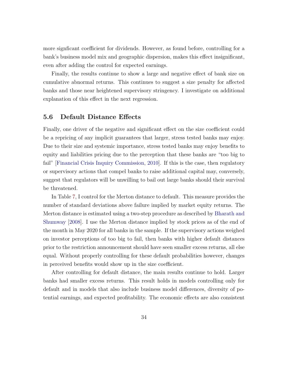more signficant coefficient for dividends. However, as found before, controlling for a bank's business model mix and geographic dispersion, makes this effect insignificant, even after adding the control for expected earnings.

Finally, the results continue to show a large and negative effect of bank size on cumulative abnormal returns. This continues to suggest a size penalty for affected banks and those near heightened supervisory stringency. I investigate on additional explanation of this effect in the next regression.

#### 5.6 Default Distance Effects

Finally, one driver of the negative and significant effect on the size coefficient could be a repricing of any implicit guarantees that larger, stress tested banks may enjoy. Due to their size and systemic importance, stress tested banks may enjoy benefits to equity and liabilities pricing due to the perception that these banks are "too big to fail" [\[Financial Crisis Inquiry Commission,](#page-43-10) [2010\]](#page-43-10). If this is the case, then regulatory or supervisory actions that compel banks to raise additional capital may, conversely, suggest that regulators will be unwilling to bail out large banks should their survival be threatened.

In Table [7,](#page-39-0) I control for the Merton distance to default. This measure provides the number of standard deviations above failure implied by market equity returns. The Merton distance is estimated using a two-step procedure as described by [Bharath and](#page-43-11) [Shumway](#page-43-11) [\[2008\]](#page-43-11). I use the Merton distance implied by stock prices as of the end of the month in May 2020 for all banks in the sample. If the supervisory actions weighed on investor perceptions of too big to fail, then banks with higher default distances prior to the restriction announcement should have seen smaller excess returns, all else equal. Without properly controlling for these default probabilities however, changes in perceived benefits would show up in the size coefficient.

After controlling for default distance, the main results continue to hold. Larger banks had smaller excess returns. This result holds in models controlling only for default and in models that also include business model differences, diversity of potential earnings, and expected profitability. The economic effects are also consistent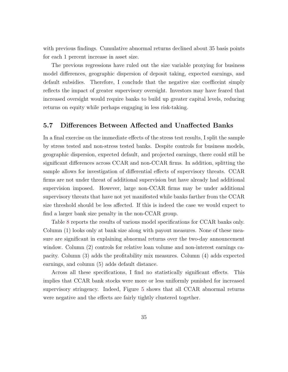with previous findings. Cumulative abnormal returns declined about 35 basis points for each 1 percent increase in asset size.

The previous regressions have ruled out the size variable proxying for business model differences, geographic dispersion of deposit taking, expected earnings, and default subsidies. Therefore, I conclude that the negative size coefficeint simply reflects the impact of greater supervisory oversight. Investors may have feared that increased oversight would require banks to build up greater capital levels, reducing returns on equity while perhaps engaging in less risk-taking.

#### 5.7 Differences Between Affected and Unaffected Banks

In a final exercise on the immediate effects of the stress test results, I split the sample by stress tested and non-stress tested banks. Despite controls for business models, geographic dispersion, expected default, and projected earnings, there could still be significant differences across CCAR and non-CCAR firms. In addition, splitting the sample allows for investigation of differential effects of supervisory threats. CCAR firms are not under threat of additional supervision but have already had additional supervision imposed. However, large non-CCAR firms may be under additional supervisory threats that have not yet manifested while banks farther from the CCAR size threshold should be less affected. If this is indeed the case we would expect to find a larger bank size penalty in the non-CCAR group.

Table [8](#page-40-0) reports the results of various model specifications for CCAR banks only. Column (1) looks only at bank size along with payout measures. None of these measure are significant in explaining abnormal returns over the two-day announcement window. Column (2) controls for relative loan volume and non-interest earnings capacity. Column (3) adds the profitability mix measures. Column (4) adds expected earnings, and column (5) adds default distance.

Across all these specifications, I find no statistically significant effects. This implies that CCAR bank stocks were more or less uniformly punished for increased supervisory stringency. Indeed, Figure [5](#page-30-0) shows that all CCAR abnormal returns were negative and the effects are fairly tightly clustered together.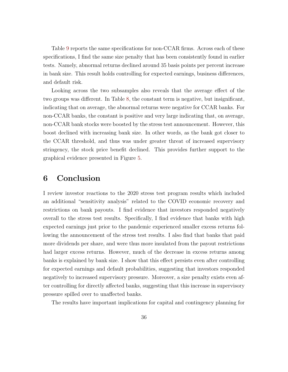Table [9](#page-41-0) reports the same specifications for non-CCAR firms. Across each of these specifications, I find the same size penalty that has been consistently found in earlier tests. Namely, abnormal returns declined around 35 basis points per percent increase in bank size. This result holds controlling for expected earnings, business differences, and default risk.

Looking across the two subsamples also reveals that the average effect of the two groups was different. In Table [8,](#page-40-0) the constant term is negative, but insignificant, indicating that on average, the abnormal returns were negative for CCAR banks. For non-CCAR banks, the constant is positive and very large indicating that, on average, non-CCAR bank stocks were boosted by the stress test announcement. However, this boost declined with increasing bank size. In other words, as the bank got closer to the CCAR threshold, and thus was under greater threat of increased supervisory stringency, the stock price benefit declined. This provides further support to the graphical evidence presented in Figure [5.](#page-30-0)

### <span id="page-37-0"></span>6 Conclusion

I review investor reactions to the 2020 stress test program results which included an additional "sensitivity analysis" related to the COVID economic recovery and restrictions on bank payouts. I find evidence that investors responded negatively overall to the stress test results. Specifically, I find evidence that banks with high expected earnings just prior to the pandemic experienced smaller excess returns following the announcement of the stress test results. I also find that banks that paid more dividends per share, and were thus more insulated from the payout restrictions had larger excess returns. However, much of the decrease in excess returns among banks is explained by bank size. I show that this effect persists even after controlling for expected earnings and default probabilities, suggesting that investors responded negatively to increased supervisory pressure. Moreover, a size penalty exists even after controlling for directly affected banks, suggesting that this increase in supervisory pressure spilled over to unaffected banks.

The results have important implications for capital and contingency planning for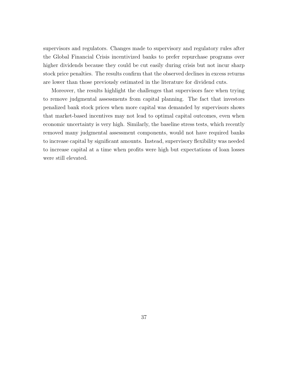supervisors and regulators. Changes made to supervisory and regulatory rules after the Global Financial Crisis incentivized banks to prefer repurchase programs over higher dividends because they could be cut easily during crisis but not incur sharp stock price penalties. The results confirm that the observed declines in excess returns are lower than those previously estimated in the literature for dividend cuts.

Moreover, the results highlight the challenges that supervisors face when trying to remove judgmental assessments from capital planning. The fact that investors penalized bank stock prices when more capital was demanded by supervisors shows that market-based incentives may not lead to optimal capital outcomes, even when economic uncertainty is very high. Similarly, the baseline stress tests, which recently removed many judgmental assessment components, would not have required banks to increase capital by significant amounts. Instead, supervisory flexibility was needed to increase capital at a time when profits were high but expectations of loan losses were still elevated.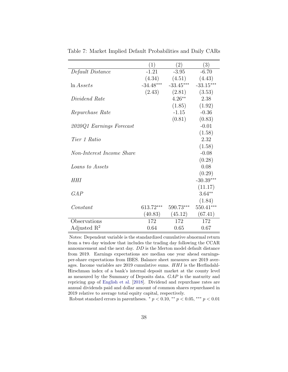|                           | (1)         | (2)         | (3)         |
|---------------------------|-------------|-------------|-------------|
| Default Distance          | $-1.21$     | $-3.95$     | $-6.70$     |
|                           | (4.34)      | (4.51)      | (4.43)      |
| $\ln Assets$              | $-34.48***$ | $-33.45***$ | $-33.15***$ |
|                           | (2.43)      | (2.81)      | (3.53)      |
| Dividend Rate             |             | $4.26**$    | 2.38        |
|                           |             | (1.85)      | (1.92)      |
| Repurchase Rate           |             | $-1.15$     | $-0.36$     |
|                           |             | (0.81)      | (0.83)      |
| 2020Q1 Earnings Forecast  |             |             | $-0.01$     |
|                           |             |             | (1.58)      |
| Tier 1 Ratio              |             |             | 2.32        |
|                           |             |             | (1.58)      |
| Non-Interest Income Share |             |             | $-0.08$     |
|                           |             |             | (0.28)      |
| <i>Loans</i> to Assets    |             |             | 0.08        |
|                           |             |             | (0.29)      |
| HHI                       |             |             | $-30.39***$ |
|                           |             |             | (11.17)     |
| GAP                       |             |             | $3.64**$    |
|                           |             |             | (1.84)      |
| Constant                  | 613.72***   | $590.73***$ | $550.41***$ |
|                           | (40.83)     | (45.12)     | (67.41)     |
| Observations              | 172         | 172         | 172         |
| Adjusted $\mathbb{R}^2$   | 0.64        | 0.65        | 0.67        |

<span id="page-39-0"></span>Table 7: Market Implied Default Probabilities and Daily CARs

Notes: Dependent variable is the standardized cumulative abnormal return from a two day window that includes the trading day following the CCAR announcement and the next day. DD is the Merton model default distance from 2019. Earnings expectations are median one year ahead earningsper-share expectations from IBES. Balance sheet measures are 2019 averages. Income variables are 2019 cumulative sums. HHI is the Herfindahl-Hirschman index of a bank's internal deposit market at the county level as measured by the Summary of Deposits data. GAP is the maturity and repricing gap of [English et al.](#page-43-8) [\[2018\]](#page-43-8). Dividend and repurchase rates are annual dividends paid and dollar amount of common shares repurchased in 2019 relative to average total equity capital, respectively.

Robust standard errors in parentheses.  $\bar{p}$  < 0.10,  $\bar{p}$  < 0.05,  $\bar{p}$  × 0.01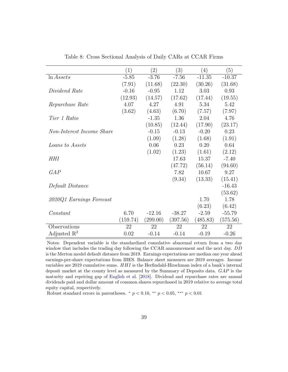<span id="page-40-0"></span>

|                           | (1)      | $\left( 2\right)$ | (3)      | (4)      | (5)      |
|---------------------------|----------|-------------------|----------|----------|----------|
| $\ln Assets$              | $-5.85$  | $-3.76$           | $-7.56$  | $-11.35$ | $-10.37$ |
|                           | (7.91)   | (11.68)           | (22.30)  | (30.26)  | (31.68)  |
| Dividend Rate             | $-0.16$  | $-0.95$           | 1.12     | 3.03     | 0.93     |
|                           | (12.93)  | (14.57)           | (17.62)  | (17.44)  | (19.55)  |
| Repurchase Rate           | 4.07     | 4.27              | 4.91     | 5.34     | 5.42     |
|                           | (3.62)   | (4.63)            | (6.70)   | (7.57)   | (7.97)   |
| Tier 1 Ratio              |          | $-1.35$           | 1.36     | 2.04     | 4.76     |
|                           |          | (10.85)           | (12.44)  | (17.90)  | (23.17)  |
| Non-Interest Income Share |          | $-0.15$           | $-0.13$  | $-0.20$  | 0.23     |
|                           |          | (1.09)            | (1.28)   | (1.68)   | (1.91)   |
| Loans to Assets           |          | 0.06              | 0.23     | 0.20     | 0.64     |
|                           |          | (1.02)            | (1.23)   | (1.61)   | (2.12)   |
| HHI                       |          |                   | 17.63    | 15.37    | $-7.40$  |
|                           |          |                   | (47.72)  | (56.14)  | (94.60)  |
| GAP                       |          |                   | 7.82     | 10.67    | 9.27     |
|                           |          |                   | (9.34)   | (13.33)  | (15.41)  |
| Default Distance          |          |                   |          |          | $-16.43$ |
|                           |          |                   |          |          | (53.62)  |
| 2020Q1 Earnings Forecast  |          |                   |          | 1.70     | 1.78     |
|                           |          |                   |          | (6.23)   | (6.42)   |
| Constant                  | 6.70     | $-12.16$          | $-38.27$ | $-2.59$  | $-55.79$ |
|                           | (159.74) | (299.00)          | (397.56) | (485.83) | (575.56) |
| Observations              | 22       | 22                | 22       | 22       | 22       |
| Adjusted $\mathbb{R}^2$   | 0.02     | $-0.14$           | $-0.14$  | $-0.19$  | $-0.26$  |

Table 8: Cross Sectional Analysis of Daily CARs at CCAR Firms

Notes: Dependent variable is the standardized cumulative abnormal return from a two day window that includes the trading day following the CCAR announcement and the next day. DD is the Merton model default distance from 2019. Earnings expectations are median one year ahead earnings-per-share expectations from IBES. Balance sheet measures are 2019 averages. Income variables are 2019 cumulative sums. HHI is the Herfindahl-Hirschman index of a bank's internal deposit market at the county level as measured by the Summary of Deposits data. GAP is the maturity and repricing gap of [English et al.](#page-43-8) [\[2018\]](#page-43-8). Dividend and repurchase rates are annual dividends paid and dollar amount of common shares repurchased in 2019 relative to average total equity capital, respectively.

Robust standard errors in parentheses.  $\frac{*}{p}$   $p$  < 0.10,  $\frac{**}{p}$   $p$  < 0.05,  $\frac{***}{p}$   $p$  < 0.01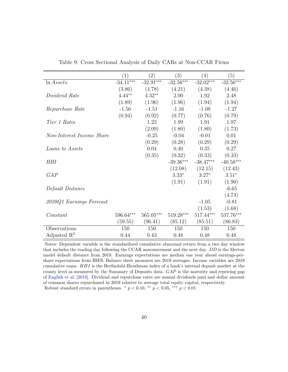<span id="page-41-0"></span>

|                           | (1)         | $\left( 2\right)$ | (3)         | $\left( 4\right)$ | (5)         |
|---------------------------|-------------|-------------------|-------------|-------------------|-------------|
| $\ln Assets$              | $-34.11***$ | $-32.91***$       | $-32.56***$ | $-32.02***$       | $-32.56***$ |
|                           | (3.86)      | (4.78)            | (4.21)      | (4.38)            | (4.46)      |
| Dividend Rate             | $4.44**$    | $4.32**$          | 2.00        | 1.92              | 2.48        |
|                           | (1.89)      | (1.96)            | (1.96)      | (1.94)            | (1.94)      |
| Repurchase Rate           | $-1.56$     | $-1.51$           | $-1.16$     | $-1.08$           | $-1.27$     |
|                           | (0.94)      | (0.92)            | (0.77)      | (0.76)            | (0.79)      |
| Tier 1 Ratio              |             | 1.23              | 1.99        | 1.91              | 1.97        |
|                           |             | (2.09)            | (1.80)      | (1.80)            | (1.73)      |
| Non-Interest Income Share |             | $-0.25$           | $-0.04$     | $-0.01$           | 0.01        |
|                           |             | (0.29)            | (0.28)      | (0.29)            | (0.29)      |
| Loans to Assets           |             | 0.04              | 0.40        | 0.35              | 0.27        |
|                           |             | (0.35)            | (0.32)      | (0.33)            | (0.33)      |
| <b>HHI</b>                |             |                   | $-39.36***$ | $-38.47***$       | $-40.58***$ |
|                           |             |                   | (12.08)     | (12.15)           | (12.43)     |
| GAP                       |             |                   | $3.33*$     | $3.27*$           | $3.51*$     |
|                           |             |                   | (1.91)      | (1.91)            | (1.90)      |
| Default Distance          |             |                   |             |                   | $-6.65$     |
|                           |             |                   |             |                   | (4.74)      |
| 2020Q1 Earnings Forecast  |             |                   |             | $-1.05$           | $-0.81$     |
|                           |             |                   |             | (1.53)            | (1.68)      |
| Constant                  | 596.64***   | $565.05***$       | $519.28***$ | $517.44***$       | 537.76***   |
|                           | (59.55)     | (96.41)           | (85.12)     | (85.51)           | (86.83)     |
| Observations              | 150         | 150               | 150         | 150               | 150         |
| Adjusted $\mathbb{R}^2$   | 0.44        | 0.43              | 0.48        | 0.48              | 0.48        |

Table 9: Cross Sectional Analysis of Daily CARs at Non-CCAR Firms

Notes: Dependent variable is the standardized cumulative abnormal return from a two day window that includes the trading day following the CCAR announcement and the next day. DD is the Merton model default distance from 2019. Earnings expectations are median one year ahead earnings-pershare expectations from IBES. Balance sheet measures are 2019 averages. Income variables are 2019 cumulative sums. HHI is the Herfindahl-Hirschman index of a bank's internal deposit market at the county level as measured by the Summary of Deposits data. GAP is the maturity and repricing gap of [English et al.](#page-43-8) [\[2018\]](#page-43-8). Dividend and repurchase rates are annual dividends paid and dollar amount of common shares repurchased in 2019 relative to average total equity capital, respectively. Robust standard errors in parentheses.  $*$   $p < 0.10$ ,  $**$   $p < 0.05$ ,  $***$   $p < 0.01$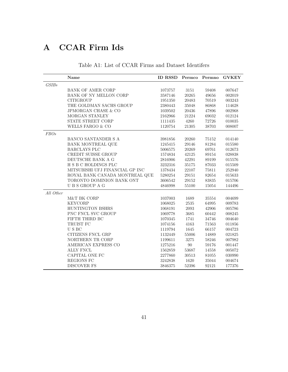## <span id="page-42-0"></span>A CCAR Firm Ids

|             | Name                            | ID RSSD Permco Permno |           |       | <b>GVKEY</b> |
|-------------|---------------------------------|-----------------------|-----------|-------|--------------|
| GSIBs       |                                 |                       |           |       |              |
|             | <b>BANK OF AMER CORP</b>        | 1073757               | 3151      | 59408 | 007647       |
|             | BANK OF NY MELLON CORP          | 3587146               | $\,20265$ | 49656 | 002019       |
|             | <b>CITIGROUP</b>                | 1951350               | 20483     | 70519 | 003243       |
|             | THE GOLDMAN SACHS GROUP         | 2380443               | 35048     | 86868 | 114628       |
|             | <b>JPMORGAN CHASE &amp; CO</b>  | 1039502               | 20436     | 47896 | 002968       |
|             | MORGAN STANLEY                  | 2162966               | 21224     | 69032 | 012124       |
|             | STATE STREET CORP               | 1111435               | 4260      | 72726 | 010035       |
|             | WELLS FARGO & CO                | 1120754               | 21305     | 38703 | 008007       |
| <b>FBOs</b> |                                 |                       |           |       |              |
|             | BANCO SANTANDER S A             | 3981856               | 20260     | 75152 | 014140       |
|             | <b>BANK MONTREAL QUE</b>        | 1245415               | 29146     | 81284 | 015580       |
|             | <b>BARCLAYS PLC</b>             | 5006575               | 20269     | 69761 | 012673       |
|             | CREDIT SUISSE GROUP             | 1574834               | 42125     | 89154 | 028838       |
|             | DEUTSCHE BANK A G               | 2816906               | 42291     | 89199 | 015576       |
|             | H S B C HOLDINGS PLC            | 3232316               | 35175     | 87033 | 015509       |
|             | MITSUBISHI UFJ FINANCIAL GP INC | 1378434               | $22107\,$ | 75811 | 252940       |
|             | ROYAL BANK CANADA MONTREAL QUE  | 5280254               | 29151     | 82654 | 015633       |
|             | TORONTO DOMINION BANK ONT       | 3606542               | 29152     | 83835 | 015706       |
|             | U B S GROUP A G                 | 4846998               | 55100     | 15054 | 144496       |
| All Other   |                                 |                       |           |       |              |
|             | M&T BK CORP                     | 1037003               | 1689      | 35554 | 004699       |
|             | <b>KEYCORP</b>                  | 1068025               | 2535      | 64995 | 009783       |
|             | HUNTINGTON BSHRS                | 1068191               | 2093      | 42906 | 005786       |
|             | PNC FNCL SVC GROUP              | 1069778               | 3685      | 60442 | 008245       |
|             | FIFTH THIRD BC                  | 1070345               | 1741      | 34746 | 004640       |
|             | TRUIST FC                       | 1074156               | 4163      | 71563 | 011856       |
|             | ${\rm U}$ S ${\rm BC}$          | 1119794               | 1645      | 66157 | 004723       |
|             | CITIZENS FNCL GRP               | 1132449               | 55006     | 14889 | 021825       |
|             | NORTHERN TR CORP                | 1199611               | 3275      | 58246 | 007982       |
|             | AMERICAN EXPRESS CO             | 1275216               | 90        | 59176 | 001447       |
|             | ALLY FNCL                       | 1562859               | 53687     | 14558 | 005072       |
|             | CAPITAL ONE FC                  | 2277860               | 30513     | 81055 | 030990       |
|             | REGIONS FC                      | 3242838               | 1620      | 35044 | 004674       |
|             | <b>DISCOVER FS</b>              | 3846375               | 52396     | 92121 | 177376       |

Table A1: List of CCAR Firms and Dataset Identifers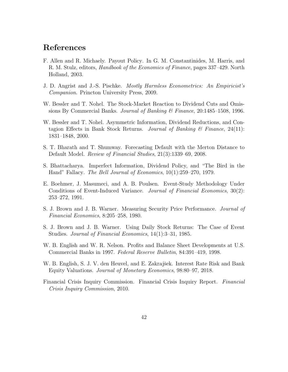### References

- <span id="page-43-7"></span>F. Allen and R. Michaely. Payout Policy. In G. M. Constantinides, M. Harris, and R. M. Stulz, editors, Handbook of the Economics of Finance, pages 337–429. North Holland, 2003.
- <span id="page-43-6"></span>J. D. Angrist and J.-S. Pischke. Mostly Harmless Econometrics: An Empiricist's Companion. Princton University Press, 2009.
- <span id="page-43-1"></span>W. Bessler and T. Nohel. The Stock-Market Reaction to Dividend Cuts and Omissions By Commercial Banks. Journal of Banking & Finance, 20:1485–1508, 1996.
- <span id="page-43-2"></span>W. Bessler and T. Nohel. Asymmetric Information, Dividend Reductions, and Contagion Effects in Bank Stock Returns. Journal of Banking  $\mathcal C$  Finance, 24(11): 1831–1848, 2000.
- <span id="page-43-11"></span>S. T. Bharath and T. Shumway. Forecasting Default with the Merton Distance to Default Model. Review of Financial Studies, 21(3):1339–69, 2008.
- <span id="page-43-0"></span>S. Bhattacharya. Imperfect Information, Dividend Policy, and "The Bird in the Hand" Fallacy. The Bell Journal of Economics, 10(1):259–270, 1979.
- <span id="page-43-3"></span>E. Boehmer, J. Masumeci, and A. B. Poulsen. Event-Study Methodology Under Conditions of Event-Induced Variance. *Journal of Financial Economics*, 30(2): 253–272, 1991.
- <span id="page-43-4"></span>S. J. Brown and J. B. Warner. Measuring Security Price Performance. Journal of Financial Economics, 8:205–258, 1980.
- <span id="page-43-5"></span>S. J. Brown and J. B. Warner. Using Daily Stock Returns: The Case of Event Studies. Journal of Financial Economics, 14(1):3–31, 1985.
- <span id="page-43-9"></span>W. B. English and W. R. Nelson. Profits and Balance Sheet Developments at U.S. Commercial Banks in 1997. Federal Reserve Bulletin, 84:391–419, 1998.
- <span id="page-43-8"></span>W. B. English, S. J. V. den Heuvel, and E. Zakrajšek. Interest Rate Risk and Bank Equity Valuations. Journal of Monetary Economics, 98:80–97, 2018.
- <span id="page-43-10"></span>Financial Crisis Inquiry Commission. Financial Crisis Inquiry Report. Financial Crisis Inquiry Commission, 2010.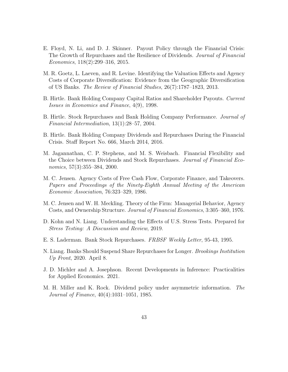- <span id="page-44-8"></span>E. Floyd, N. Li, and D. J. Skinner. Payout Policy through the Financial Crisis: The Growth of Repurchases and the Resilience of Dividends. Journal of Financial Economics, 118(2):299–316, 2015.
- <span id="page-44-12"></span>M. R. Goetz, L. Laeven, and R. Levine. Identifying the Valuation Effects and Agency Costs of Corporate Diversification: Evidence from the Geographic Diversification of US Banks. The Review of Financial Studies, 26(7):1787–1823, 2013.
- <span id="page-44-5"></span>B. Hirtle. Bank Holding Company Capital Ratios and Shareholder Payouts. Current Issues in Economics and Finance, 4(9), 1998.
- <span id="page-44-1"></span>B. Hirtle. Stock Repurchases and Bank Holding Company Performance. Journal of Financial Intermediation, 13(1):28–57, 2004.
- <span id="page-44-7"></span>B. Hirtle. Bank Holding Company Dividends and Repurchases During the Financial Crisis. Staff Report No. 666, March 2014, 2016.
- <span id="page-44-6"></span>M. Jagannathan, C. P. Stephens, and M. S. Weisbach. Financial Flexibility and the Choice between Dividends and Stock Repurchases. Journal of Financial Economics, 57(3):355–384, 2000.
- <span id="page-44-3"></span>M. C. Jensen. Agency Costs of Free Cash Flow, Corporate Finance, and Takeovers. Papers and Proceedings of the Ninety-Eighth Annual Meeting of the American Economic Association, 76:323–329, 1986.
- <span id="page-44-2"></span>M. C. Jensen and W. H. Meckling. Theory of the Firm: Managerial Behavior, Agency Costs, and Ownership Structure. Journal of Financial Economics, 3:305–360, 1976.
- <span id="page-44-9"></span>D. Kohn and N. Liang. Understanding the Effects of U.S. Stress Tests. Prepared for Stress Testing: A Discussion and Review, 2019.
- <span id="page-44-4"></span>E. S. Laderman. Bank Stock Repurchases. FRBSF Weekly Letter, 95-43, 1995.
- <span id="page-44-10"></span>N. Liang. Banks Should Suspend Share Repurchases for Longer. Brookings Institution Up Front, 2020. April 8.
- <span id="page-44-11"></span>J. D. Michler and A. Josephson. Recent Developments in Inference: Practicalities for Applied Economics. 2021.
- <span id="page-44-0"></span>M. H. Miller and K. Rock. Dividend policy under asymmetric information. The Journal of Finance, 40(4):1031–1051, 1985.